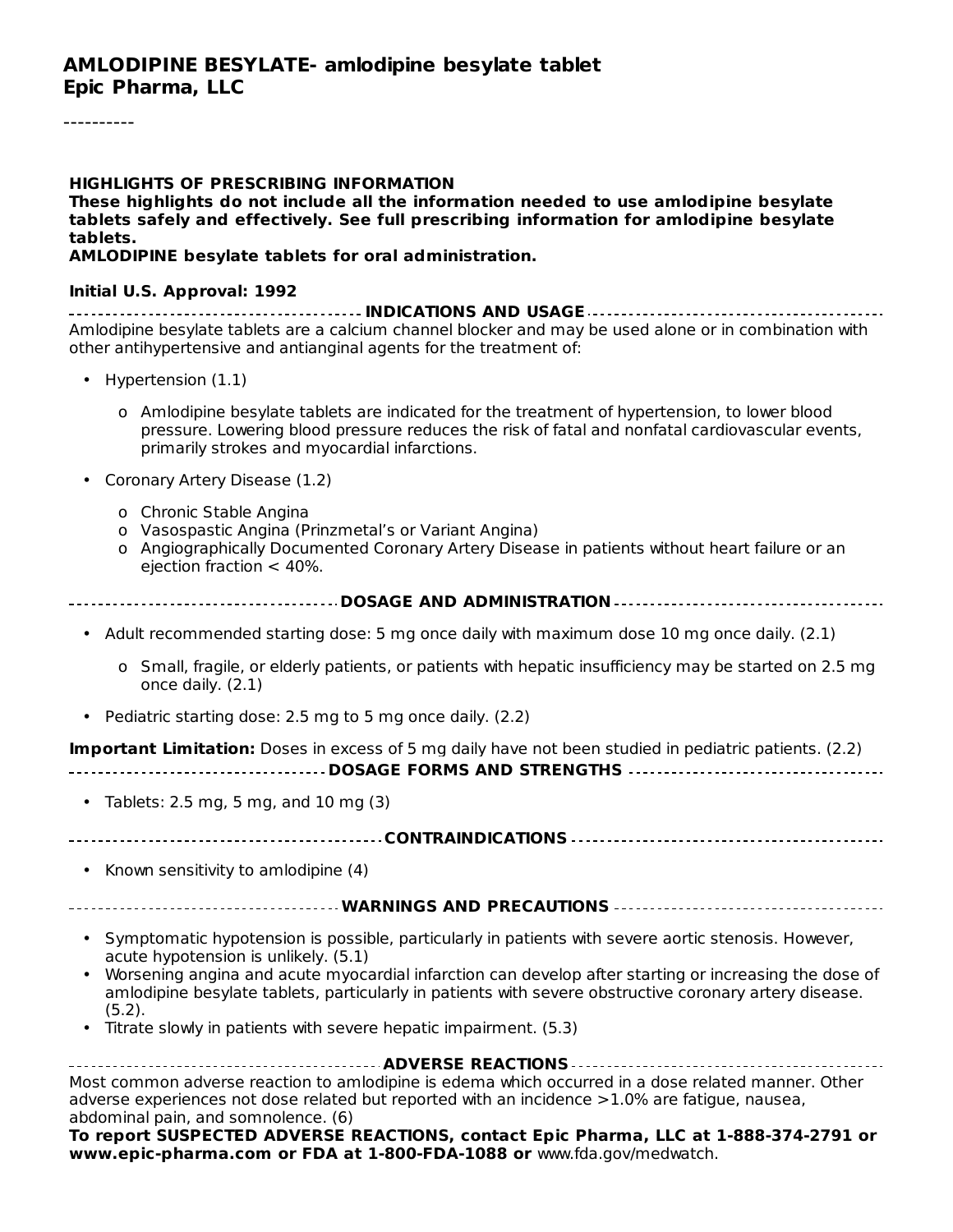----------

#### **HIGHLIGHTS OF PRESCRIBING INFORMATION These highlights do not include all the information needed to use amlodipine besylate tablets safely and effectively. See full prescribing information for amlodipine besylate tablets.**

#### **AMLODIPINE besylate tablets for oral administration.**

#### **Initial U.S. Approval: 1992**

**INDICATIONS AND USAGE** Amlodipine besylate tablets are a calcium channel blocker and may be used alone or in combination with other antihypertensive and antianginal agents for the treatment of:

- Hypertension (1.1)
	- o Amlodipine besylate tablets are indicated for the treatment of hypertension, to lower blood pressure. Lowering blood pressure reduces the risk of fatal and nonfatal cardiovascular events, primarily strokes and myocardial infarctions.
- Coronary Artery Disease (1.2)
	- o Chronic Stable Angina
	- o Vasospastic Angina (Prinzmetal's or Variant Angina)
	- o Angiographically Documented Coronary Artery Disease in patients without heart failure or an ejection fraction < 40%.
- **DOSAGE AND ADMINISTRATION**
	- Adult recommended starting dose: 5 mg once daily with maximum dose 10 mg once daily. (2.1)
		- o Small, fragile, or elderly patients, or patients with hepatic insufficiency may be started on 2.5 mg once daily. (2.1)
	- Pediatric starting dose: 2.5 mg to 5 mg once daily. (2.2)

**Important Limitation:** Doses in excess of 5 mg daily have not been studied in pediatric patients. (2.2) **DOSAGE FORMS AND STRENGTHS**

• Tablets: 2.5 mg, 5 mg, and 10 mg (3)

**CONTRAINDICATIONS**

- Known sensitivity to amlodipine (4)
- **WARNINGS AND PRECAUTIONS**
	- Symptomatic hypotension is possible, particularly in patients with severe aortic stenosis. However, acute hypotension is unlikely. (5.1)
	- Worsening angina and acute myocardial infarction can develop after starting or increasing the dose of amlodipine besylate tablets, particularly in patients with severe obstructive coronary artery disease. (5.2).
	- Titrate slowly in patients with severe hepatic impairment. (5.3)

**ADVERSE REACTIONS** Most common adverse reaction to amlodipine is edema which occurred in a dose related manner. Other adverse experiences not dose related but reported with an incidence >1.0% are fatigue, nausea, abdominal pain, and somnolence. (6)

**To report SUSPECTED ADVERSE REACTIONS, contact Epic Pharma, LLC at 1-888-374-2791 or www.epic-pharma.com or FDA at 1-800-FDA-1088 or** www.fda.gov/medwatch.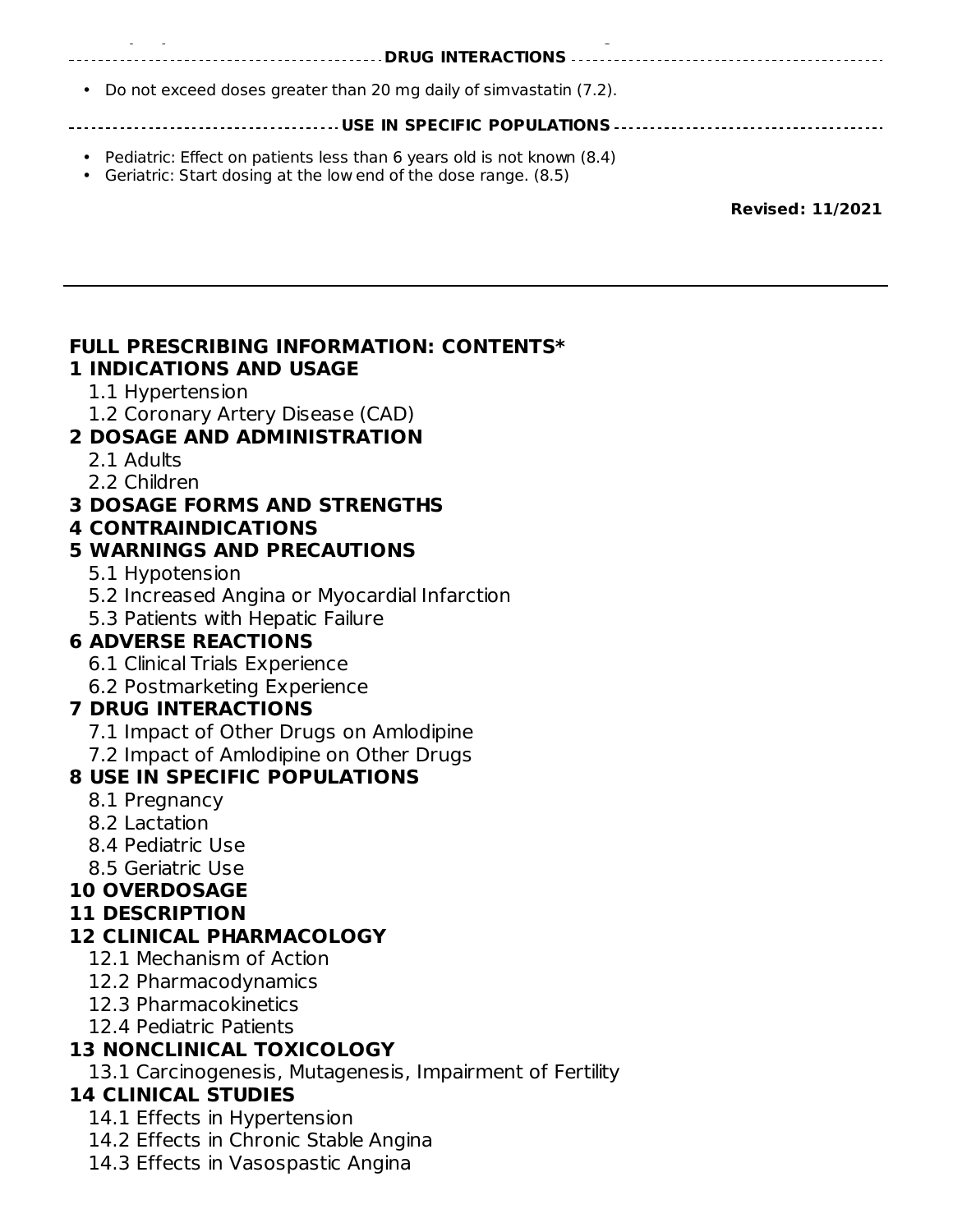| • Do not exceed doses greater than 20 mg daily of simvastatin (7.2).     |
|--------------------------------------------------------------------------|
|                                                                          |
| • Pediatric: Effect on patients less than 6 years old is not known (8.4) |

• Geriatric: Start dosing at the low end of the dose range. (8.5)

#### **Revised: 11/2021**

#### **FULL PRESCRIBING INFORMATION: CONTENTS\* 1 INDICATIONS AND USAGE**

- 1.1 Hypertension
- 1.2 Coronary Artery Disease (CAD)

#### **2 DOSAGE AND ADMINISTRATION**

- 2.1 Adults
- 2.2 Children

#### **3 DOSAGE FORMS AND STRENGTHS**

#### **4 CONTRAINDICATIONS**

#### **5 WARNINGS AND PRECAUTIONS**

- 5.1 Hypotension
- 5.2 Increased Angina or Myocardial Infarction
- 5.3 Patients with Hepatic Failure

### **6 ADVERSE REACTIONS**

- 6.1 Clinical Trials Experience
- 6.2 Postmarketing Experience

### **7 DRUG INTERACTIONS**

- 7.1 Impact of Other Drugs on Amlodipine
- 7.2 Impact of Amlodipine on Other Drugs

### **8 USE IN SPECIFIC POPULATIONS**

- 8.1 Pregnancy
- 8.2 Lactation
- 8.4 Pediatric Use
- 8.5 Geriatric Use

### **10 OVERDOSAGE**

#### **11 DESCRIPTION**

### **12 CLINICAL PHARMACOLOGY**

- 12.1 Mechanism of Action
- 12.2 Pharmacodynamics
- 12.3 Pharmacokinetics
- 12.4 Pediatric Patients

# **13 NONCLINICAL TOXICOLOGY**

13.1 Carcinogenesis, Mutagenesis, Impairment of Fertility

### **14 CLINICAL STUDIES**

- 14.1 Effects in Hypertension
- 14.2 Effects in Chronic Stable Angina
- 14.3 Effects in Vasospastic Angina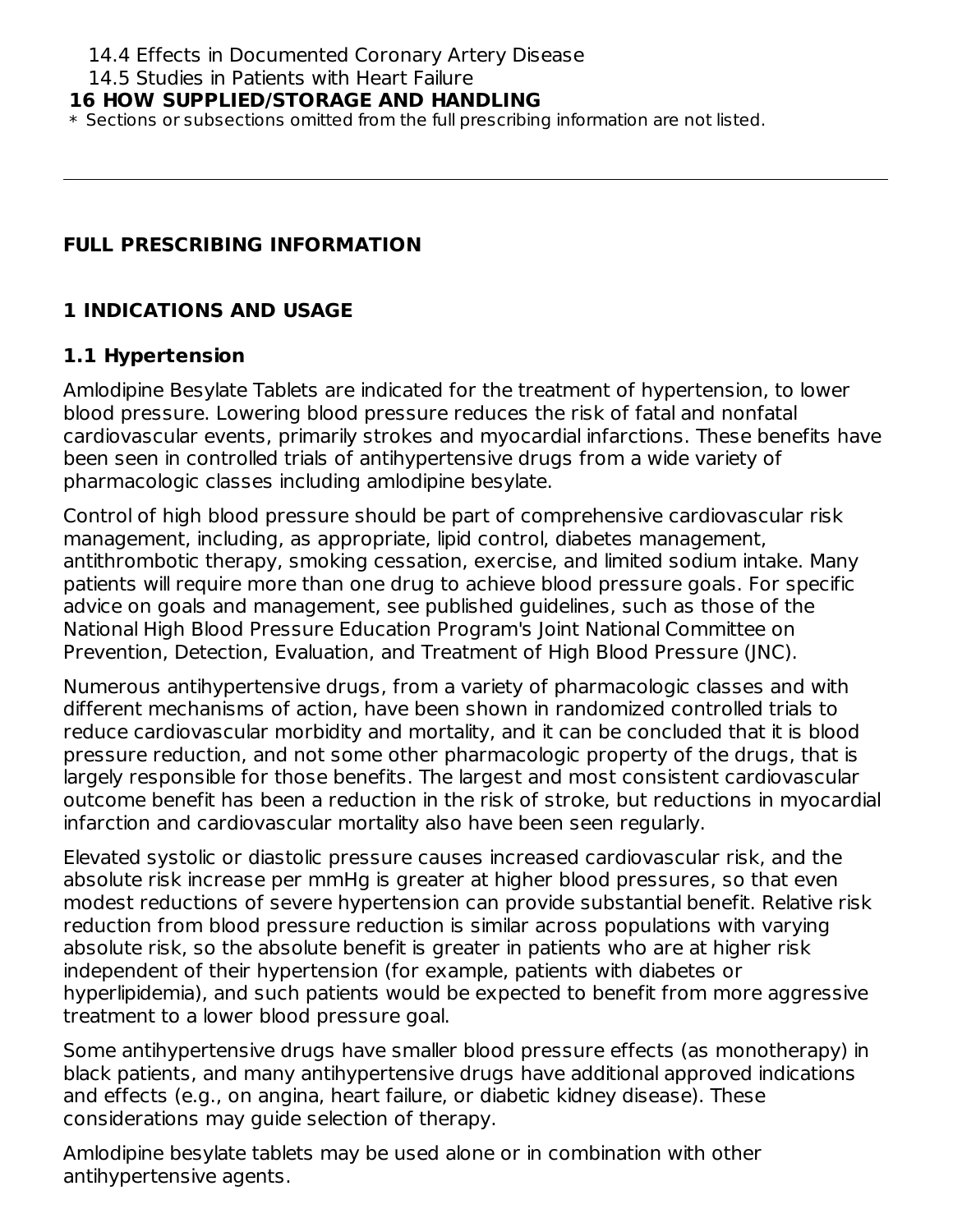14.4 Effects in Documented Coronary Artery Disease

14.5 Studies in Patients with Heart Failure

#### **16 HOW SUPPLIED/STORAGE AND HANDLING**

\* Sections or subsections omitted from the full prescribing information are not listed.

#### **FULL PRESCRIBING INFORMATION**

#### **1 INDICATIONS AND USAGE**

#### **1.1 Hypertension**

Amlodipine Besylate Tablets are indicated for the treatment of hypertension, to lower blood pressure. Lowering blood pressure reduces the risk of fatal and nonfatal cardiovascular events, primarily strokes and myocardial infarctions. These benefits have been seen in controlled trials of antihypertensive drugs from a wide variety of pharmacologic classes including amlodipine besylate.

Control of high blood pressure should be part of comprehensive cardiovascular risk management, including, as appropriate, lipid control, diabetes management, antithrombotic therapy, smoking cessation, exercise, and limited sodium intake. Many patients will require more than one drug to achieve blood pressure goals. For specific advice on goals and management, see published guidelines, such as those of the National High Blood Pressure Education Program's Joint National Committee on Prevention, Detection, Evaluation, and Treatment of High Blood Pressure (JNC).

Numerous antihypertensive drugs, from a variety of pharmacologic classes and with different mechanisms of action, have been shown in randomized controlled trials to reduce cardiovascular morbidity and mortality, and it can be concluded that it is blood pressure reduction, and not some other pharmacologic property of the drugs, that is largely responsible for those benefits. The largest and most consistent cardiovascular outcome benefit has been a reduction in the risk of stroke, but reductions in myocardial infarction and cardiovascular mortality also have been seen regularly.

Elevated systolic or diastolic pressure causes increased cardiovascular risk, and the absolute risk increase per mmHg is greater at higher blood pressures, so that even modest reductions of severe hypertension can provide substantial benefit. Relative risk reduction from blood pressure reduction is similar across populations with varying absolute risk, so the absolute benefit is greater in patients who are at higher risk independent of their hypertension (for example, patients with diabetes or hyperlipidemia), and such patients would be expected to benefit from more aggressive treatment to a lower blood pressure goal.

Some antihypertensive drugs have smaller blood pressure effects (as monotherapy) in black patients, and many antihypertensive drugs have additional approved indications and effects (e.g., on angina, heart failure, or diabetic kidney disease). These considerations may guide selection of therapy.

Amlodipine besylate tablets may be used alone or in combination with other antihypertensive agents.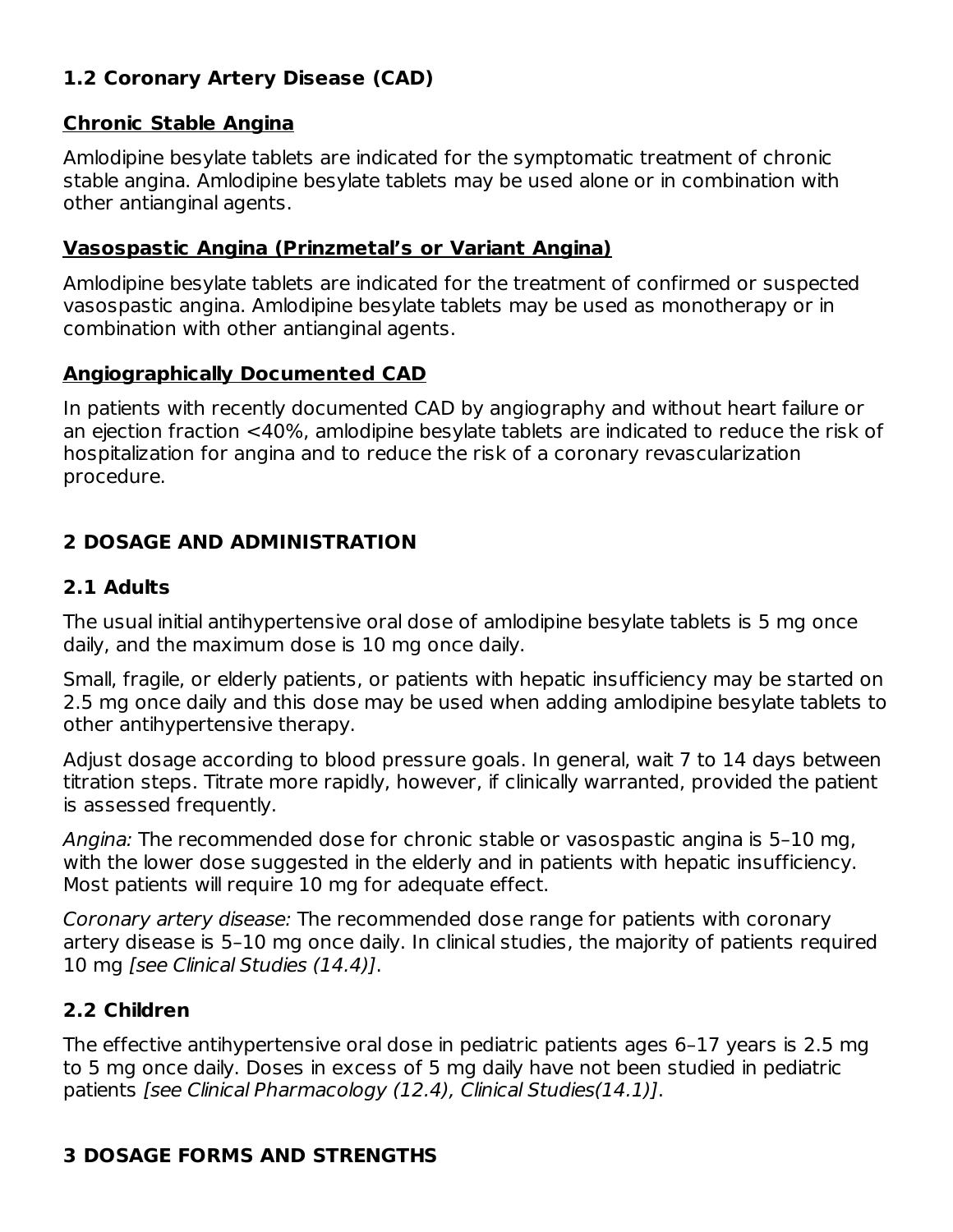### **1.2 Coronary Artery Disease (CAD)**

#### **Chronic Stable Angina**

Amlodipine besylate tablets are indicated for the symptomatic treatment of chronic stable angina. Amlodipine besylate tablets may be used alone or in combination with other antianginal agents.

#### **Vasospastic Angina (Prinzmetal's or Variant Angina)**

Amlodipine besylate tablets are indicated for the treatment of confirmed or suspected vasospastic angina. Amlodipine besylate tablets may be used as monotherapy or in combination with other antianginal agents.

#### **Angiographically Documented CAD**

In patients with recently documented CAD by angiography and without heart failure or an ejection fraction <40%, amlodipine besylate tablets are indicated to reduce the risk of hospitalization for angina and to reduce the risk of a coronary revascularization procedure.

### **2 DOSAGE AND ADMINISTRATION**

### **2.1 Adults**

The usual initial antihypertensive oral dose of amlodipine besylate tablets is 5 mg once daily, and the maximum dose is 10 mg once daily.

Small, fragile, or elderly patients, or patients with hepatic insufficiency may be started on 2.5 mg once daily and this dose may be used when adding amlodipine besylate tablets to other antihypertensive therapy.

Adjust dosage according to blood pressure goals. In general, wait 7 to 14 days between titration steps. Titrate more rapidly, however, if clinically warranted, provided the patient is assessed frequently.

Angina: The recommended dose for chronic stable or vasospastic angina is 5–10 mg, with the lower dose suggested in the elderly and in patients with hepatic insufficiency. Most patients will require 10 mg for adequate effect.

Coronary artery disease: The recommended dose range for patients with coronary artery disease is 5–10 mg once daily. In clinical studies, the majority of patients required 10 mg [see Clinical Studies (14.4)].

### **2.2 Children**

The effective antihypertensive oral dose in pediatric patients ages 6–17 years is 2.5 mg to 5 mg once daily. Doses in excess of 5 mg daily have not been studied in pediatric patients [see Clinical Pharmacology (12.4), Clinical Studies(14.1)].

### **3 DOSAGE FORMS AND STRENGTHS**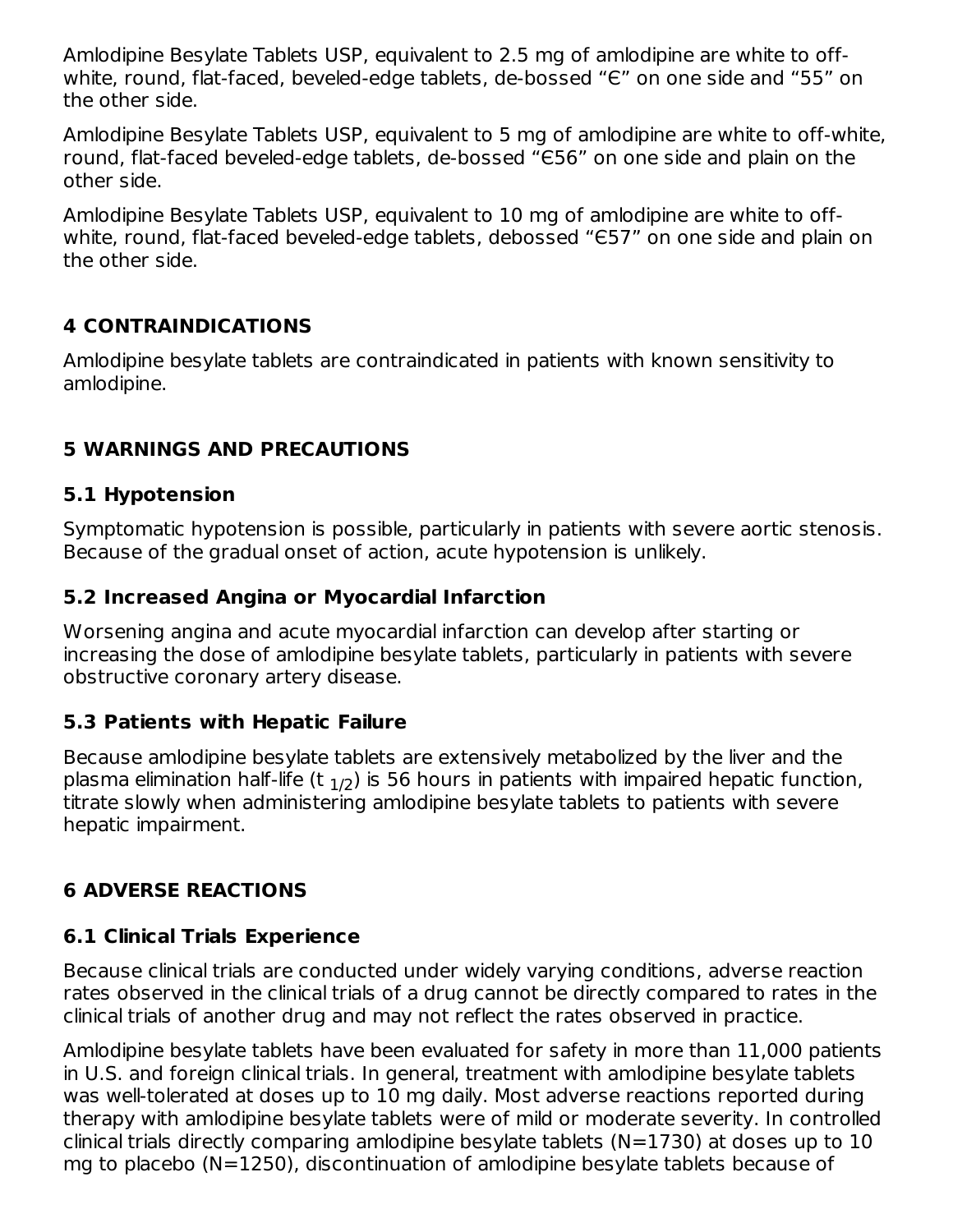Amlodipine Besylate Tablets USP, equivalent to 2.5 mg of amlodipine are white to offwhite, round, flat-faced, beveled-edge tablets, de-bossed "Є" on one side and "55" on the other side.

Amlodipine Besylate Tablets USP, equivalent to 5 mg of amlodipine are white to off-white, round, flat-faced beveled-edge tablets, de-bossed "Є56" on one side and plain on the other side.

Amlodipine Besylate Tablets USP, equivalent to 10 mg of amlodipine are white to offwhite, round, flat-faced beveled-edge tablets, debossed "Є57" on one side and plain on the other side.

# **4 CONTRAINDICATIONS**

Amlodipine besylate tablets are contraindicated in patients with known sensitivity to amlodipine.

### **5 WARNINGS AND PRECAUTIONS**

#### **5.1 Hypotension**

Symptomatic hypotension is possible, particularly in patients with severe aortic stenosis. Because of the gradual onset of action, acute hypotension is unlikely.

#### **5.2 Increased Angina or Myocardial Infarction**

Worsening angina and acute myocardial infarction can develop after starting or increasing the dose of amlodipine besylate tablets, particularly in patients with severe obstructive coronary artery disease.

### **5.3 Patients with Hepatic Failure**

Because amlodipine besylate tablets are extensively metabolized by the liver and the plasma elimination half-life (t  $_{1/2}$ ) is 56 hours in patients with impaired hepatic function, titrate slowly when administering amlodipine besylate tablets to patients with severe hepatic impairment.

# **6 ADVERSE REACTIONS**

### **6.1 Clinical Trials Experience**

Because clinical trials are conducted under widely varying conditions, adverse reaction rates observed in the clinical trials of a drug cannot be directly compared to rates in the clinical trials of another drug and may not reflect the rates observed in practice.

Amlodipine besylate tablets have been evaluated for safety in more than 11,000 patients in U.S. and foreign clinical trials. In general, treatment with amlodipine besylate tablets was well-tolerated at doses up to 10 mg daily. Most adverse reactions reported during therapy with amlodipine besylate tablets were of mild or moderate severity. In controlled clinical trials directly comparing amlodipine besylate tablets ( $N=1730$ ) at doses up to 10 mg to placebo (N=1250), discontinuation of amlodipine besylate tablets because of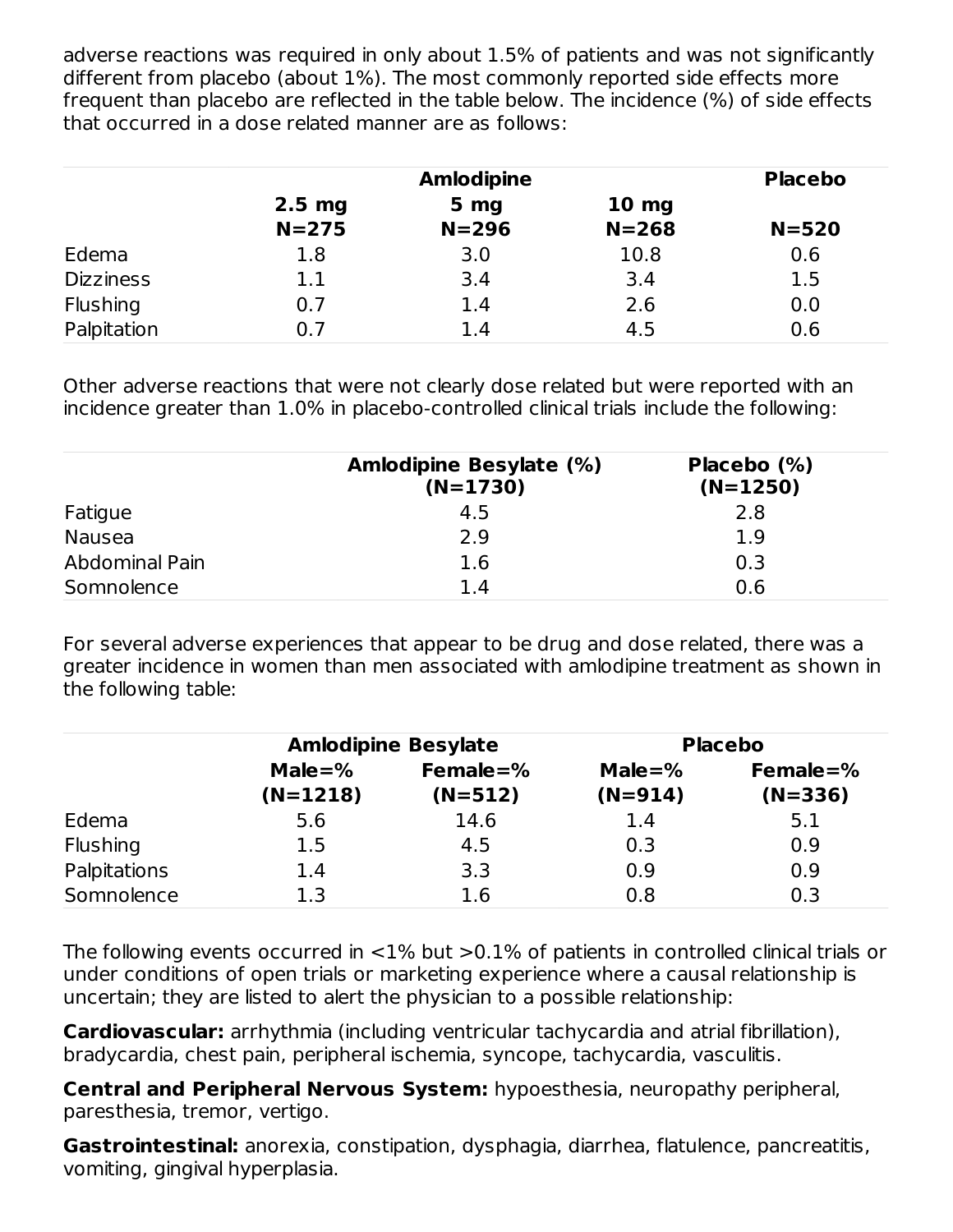adverse reactions was required in only about 1.5% of patients and was not significantly different from placebo (about 1%). The most commonly reported side effects more frequent than placebo are reflected in the table below. The incidence (%) of side effects that occurred in a dose related manner are as follows:

|                  |                   | <b>Placebo</b>  |                  |           |
|------------------|-------------------|-----------------|------------------|-----------|
|                  | 2.5 <sub>mg</sub> | 5 <sub>mg</sub> | 10 <sub>mg</sub> |           |
|                  | $N = 275$         | $N = 296$       | $N = 268$        | $N = 520$ |
| Edema            | 1.8               | 3.0             | 10.8             | 0.6       |
| <b>Dizziness</b> | 1.1               | 3.4             | 3.4              | 1.5       |
| <b>Flushing</b>  | 0.7               | 1.4             | 2.6              | 0.0       |
| Palpitation      | 0.7               | 1.4             | 4.5              | 0.6       |

Other adverse reactions that were not clearly dose related but were reported with an incidence greater than 1.0% in placebo-controlled clinical trials include the following:

|                | Amlodipine Besylate (%)<br>$(N=1730)$ | Placebo (%)<br>$(N=1250)$ |
|----------------|---------------------------------------|---------------------------|
| Fatigue        | 4.5                                   | 2.8                       |
| <b>Nausea</b>  | 2.9                                   | 1.9                       |
| Abdominal Pain | 1.6                                   | 0.3                       |
| Somnolence     | 1.4                                   | 0.6                       |

For several adverse experiences that appear to be drug and dose related, there was a greater incidence in women than men associated with amlodipine treatment as shown in the following table:

|                 |                       | <b>Amlodipine Besylate</b> |                        | <b>Placebo</b>           |  |
|-----------------|-----------------------|----------------------------|------------------------|--------------------------|--|
|                 | Male= $%$<br>(N=1218) | Female= $%$<br>$(N=512)$   | Male= $%$<br>$(N=914)$ | Female= $%$<br>$(N=336)$ |  |
| Edema           | 5.6                   | 14.6                       | 1.4                    | 5.1                      |  |
| <b>Flushing</b> | 1.5                   | 4.5                        | 0.3                    | 0.9                      |  |
| Palpitations    | 1.4                   | 3.3                        | 0.9                    | 0.9                      |  |
| Somnolence      | 1.3                   | 1.6                        | 0.8                    | 0.3                      |  |

The following events occurred in  $<$ 1% but  $>$ 0.1% of patients in controlled clinical trials or under conditions of open trials or marketing experience where a causal relationship is uncertain; they are listed to alert the physician to a possible relationship:

**Cardiovascular:** arrhythmia (including ventricular tachycardia and atrial fibrillation), bradycardia, chest pain, peripheral ischemia, syncope, tachycardia, vasculitis.

**Central and Peripheral Nervous System:** hypoesthesia, neuropathy peripheral, paresthesia, tremor, vertigo.

**Gastrointestinal:** anorexia, constipation, dysphagia, diarrhea, flatulence, pancreatitis, vomiting, gingival hyperplasia.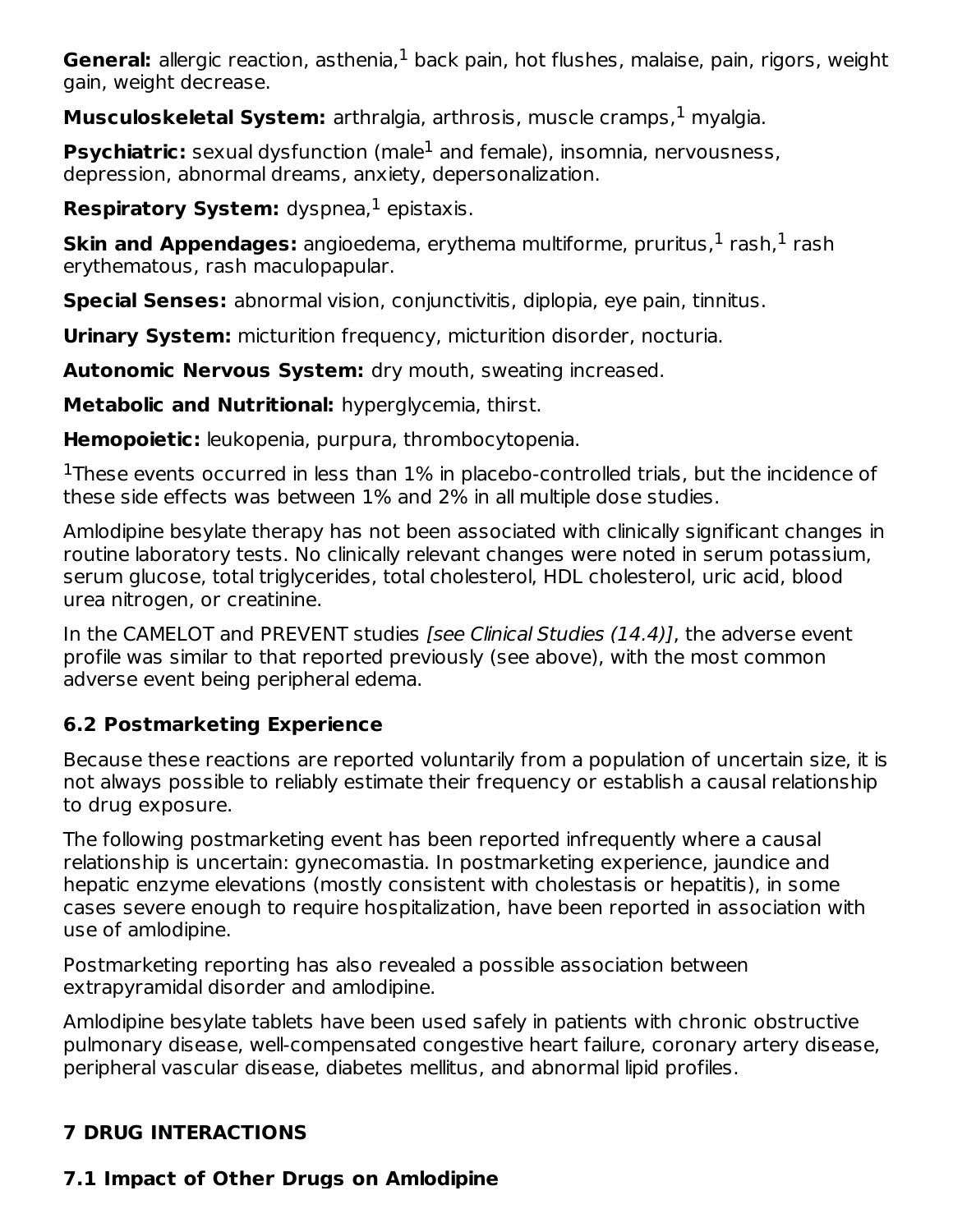General: allergic reaction, asthenia,<sup>1</sup> back pain, hot flushes, malaise, pain, rigors, weight gain, weight decrease.

**Musculoskeletal System:** arthralgia, arthrosis, muscle cramps, <sup>1</sup> myalgia.

**Psychiatric:** sexual dysfunction (male<sup>1</sup> and female), insomnia, nervousness, depression, abnormal dreams, anxiety, depersonalization.

**Respiratory System:** dyspnea,<sup>1</sup> epistaxis.

**Skin and Appendages:** angioedema, erythema multiforme, pruritus, 1 rash, 1 rash erythematous, rash maculopapular.

**Special Senses:** abnormal vision, conjunctivitis, diplopia, eye pain, tinnitus.

**Urinary System:** micturition frequency, micturition disorder, nocturia.

**Autonomic Nervous System:** dry mouth, sweating increased.

**Metabolic and Nutritional:** hyperglycemia, thirst.

**Hemopoietic:** leukopenia, purpura, thrombocytopenia.

<sup>1</sup>These events occurred in less than  $1\%$  in placebo-controlled trials, but the incidence of these side effects was between 1% and 2% in all multiple dose studies.

Amlodipine besylate therapy has not been associated with clinically significant changes in routine laboratory tests. No clinically relevant changes were noted in serum potassium, serum glucose, total triglycerides, total cholesterol, HDL cholesterol, uric acid, blood urea nitrogen, or creatinine.

In the CAMELOT and PREVENT studies [see Clinical Studies (14.4)], the adverse event profile was similar to that reported previously (see above), with the most common adverse event being peripheral edema.

# **6.2 Postmarketing Experience**

Because these reactions are reported voluntarily from a population of uncertain size, it is not always possible to reliably estimate their frequency or establish a causal relationship to drug exposure.

The following postmarketing event has been reported infrequently where a causal relationship is uncertain: gynecomastia. In postmarketing experience, jaundice and hepatic enzyme elevations (mostly consistent with cholestasis or hepatitis), in some cases severe enough to require hospitalization, have been reported in association with use of amlodipine.

Postmarketing reporting has also revealed a possible association between extrapyramidal disorder and amlodipine.

Amlodipine besylate tablets have been used safely in patients with chronic obstructive pulmonary disease, well-compensated congestive heart failure, coronary artery disease, peripheral vascular disease, diabetes mellitus, and abnormal lipid profiles.

# **7 DRUG INTERACTIONS**

# **7.1 Impact of Other Drugs on Amlodipine**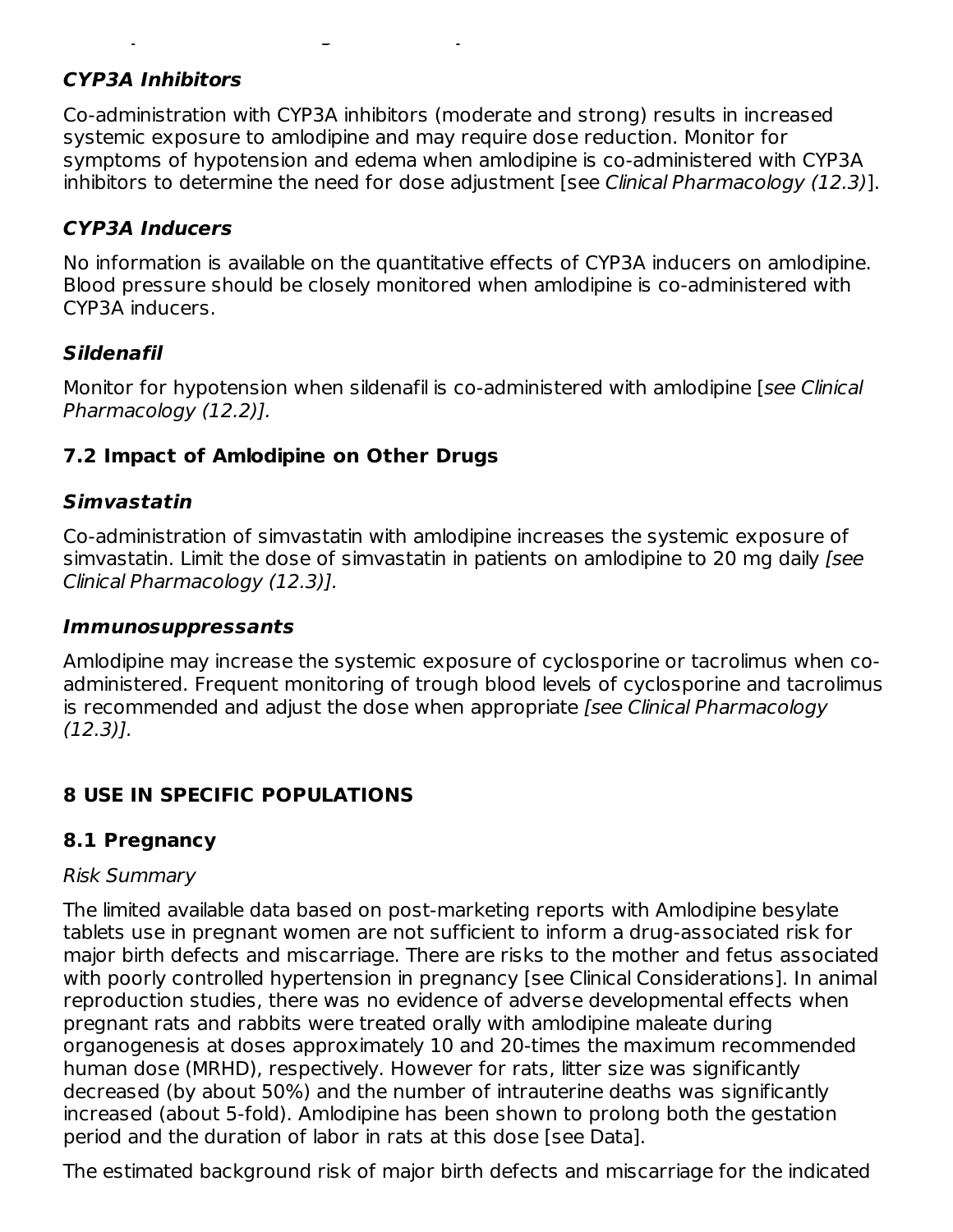#### **CYP3A Inhibitors**

Co-administration with CYP3A inhibitors (moderate and strong) results in increased systemic exposure to amlodipine and may require dose reduction. Monitor for symptoms of hypotension and edema when amlodipine is co-administered with CYP3A inhibitors to determine the need for dose adjustment [see Clinical Pharmacology (12.3)].

### **CYP3A Inducers**

No information is available on the quantitative effects of CYP3A inducers on amlodipine. Blood pressure should be closely monitored when amlodipine is co-administered with CYP3A inducers.

### **Sildenafil**

Monitor for hypotension when sildenafil is co-administered with amlodipine [see Clinical Pharmacology (12.2)].

### **7.2 Impact of Amlodipine on Other Drugs**

**7.1 Impact of Other Drugs on Amlodipine**

### **Simvastatin**

Co-administration of simvastatin with amlodipine increases the systemic exposure of simvastatin. Limit the dose of simvastatin in patients on amlodipine to 20 mg daily (see Clinical Pharmacology (12.3)].

#### **Immunosuppressants**

Amlodipine may increase the systemic exposure of cyclosporine or tacrolimus when coadministered. Frequent monitoring of trough blood levels of cyclosporine and tacrolimus is recommended and adjust the dose when appropriate [see Clinical Pharmacology (12.3)].

# **8 USE IN SPECIFIC POPULATIONS**

### **8.1 Pregnancy**

#### Risk Summary

The limited available data based on post-marketing reports with Amlodipine besylate tablets use in pregnant women are not sufficient to inform a drug-associated risk for major birth defects and miscarriage. There are risks to the mother and fetus associated with poorly controlled hypertension in pregnancy [see Clinical Considerations]. In animal reproduction studies, there was no evidence of adverse developmental effects when pregnant rats and rabbits were treated orally with amlodipine maleate during organogenesis at doses approximately 10 and 20-times the maximum recommended human dose (MRHD), respectively. However for rats, litter size was significantly decreased (by about 50%) and the number of intrauterine deaths was significantly increased (about 5-fold). Amlodipine has been shown to prolong both the gestation period and the duration of labor in rats at this dose [see Data].

The estimated background risk of major birth defects and miscarriage for the indicated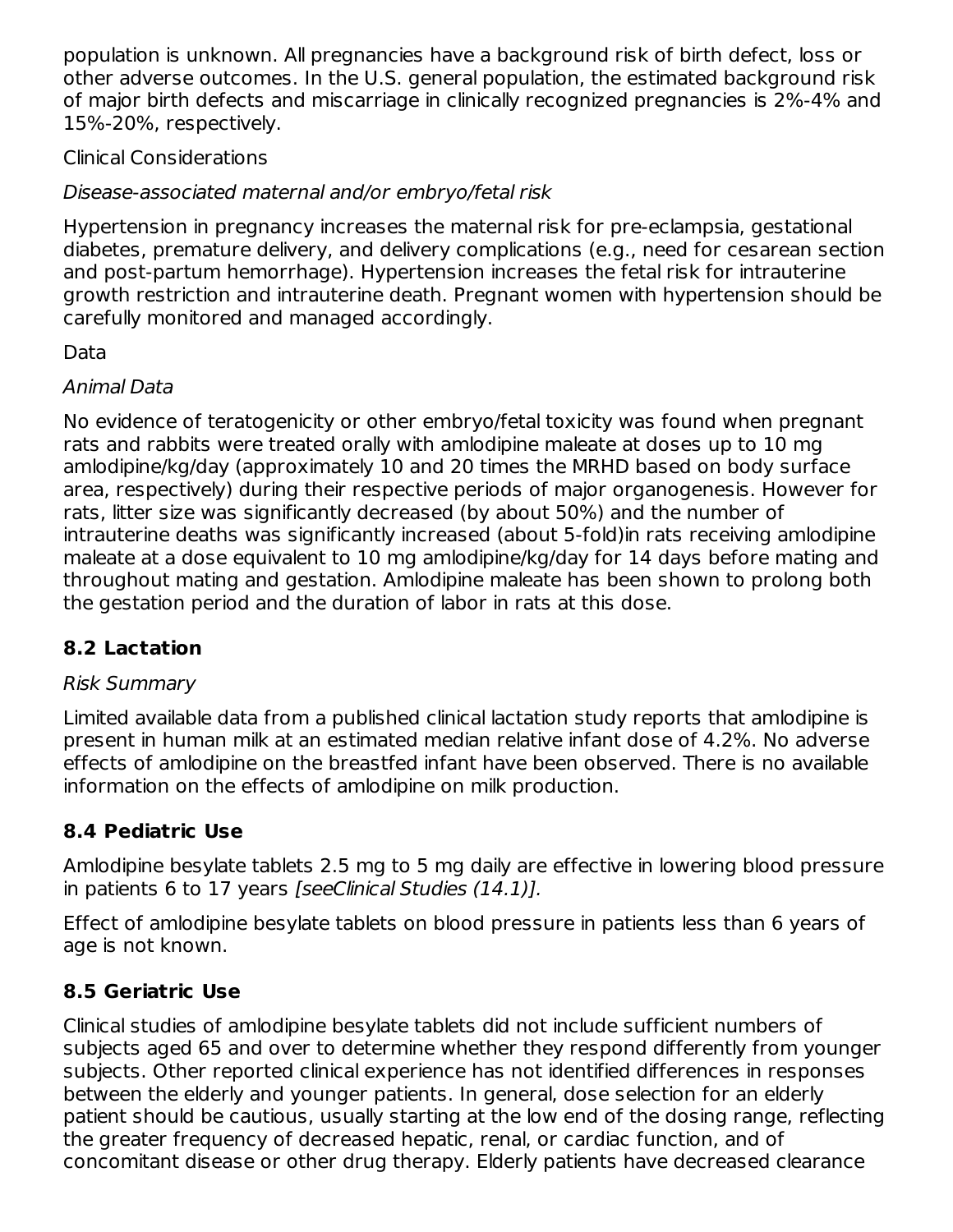population is unknown. All pregnancies have a background risk of birth defect, loss or other adverse outcomes. In the U.S. general population, the estimated background risk of major birth defects and miscarriage in clinically recognized pregnancies is 2%-4% and 15%-20%, respectively.

Clinical Considerations

Disease-associated maternal and/or embryo/fetal risk

Hypertension in pregnancy increases the maternal risk for pre-eclampsia, gestational diabetes, premature delivery, and delivery complications (e.g., need for cesarean section and post-partum hemorrhage). Hypertension increases the fetal risk for intrauterine growth restriction and intrauterine death. Pregnant women with hypertension should be carefully monitored and managed accordingly.

Data

# Animal Data

No evidence of teratogenicity or other embryo/fetal toxicity was found when pregnant rats and rabbits were treated orally with amlodipine maleate at doses up to 10 mg amlodipine/kg/day (approximately 10 and 20 times the MRHD based on body surface area, respectively) during their respective periods of major organogenesis. However for rats, litter size was significantly decreased (by about 50%) and the number of intrauterine deaths was significantly increased (about 5-fold)in rats receiving amlodipine maleate at a dose equivalent to 10 mg amlodipine/kg/day for 14 days before mating and throughout mating and gestation. Amlodipine maleate has been shown to prolong both the gestation period and the duration of labor in rats at this dose.

# **8.2 Lactation**

# Risk Summary

Limited available data from a published clinical lactation study reports that amlodipine is present in human milk at an estimated median relative infant dose of 4.2%. No adverse effects of amlodipine on the breastfed infant have been observed. There is no available information on the effects of amlodipine on milk production.

# **8.4 Pediatric Use**

Amlodipine besylate tablets 2.5 mg to 5 mg daily are effective in lowering blood pressure in patients 6 to 17 years [seeClinical Studies (14.1)].

Effect of amlodipine besylate tablets on blood pressure in patients less than 6 years of age is not known.

# **8.5 Geriatric Use**

Clinical studies of amlodipine besylate tablets did not include sufficient numbers of subjects aged 65 and over to determine whether they respond differently from younger subjects. Other reported clinical experience has not identified differences in responses between the elderly and younger patients. In general, dose selection for an elderly patient should be cautious, usually starting at the low end of the dosing range, reflecting the greater frequency of decreased hepatic, renal, or cardiac function, and of concomitant disease or other drug therapy. Elderly patients have decreased clearance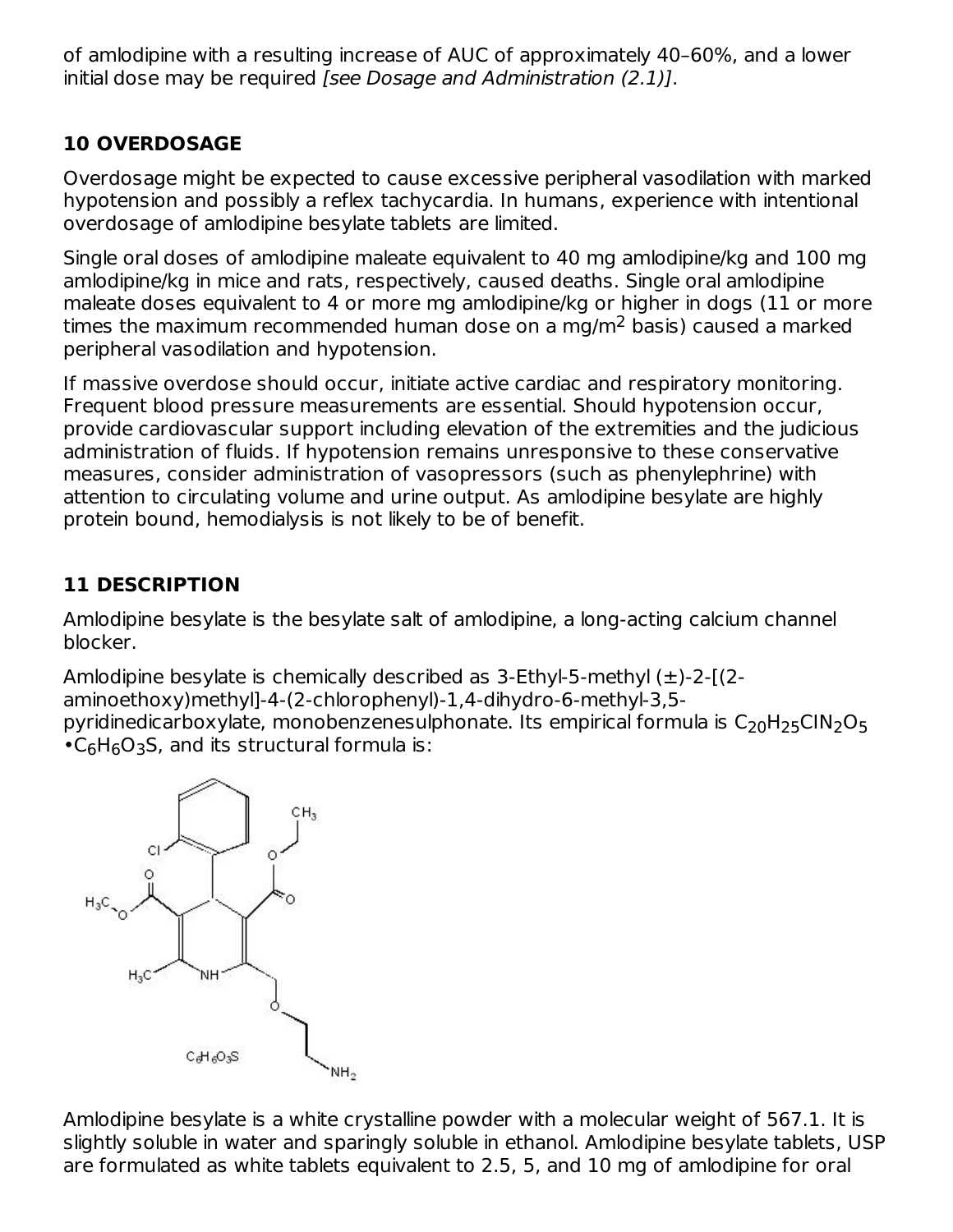of amlodipine with a resulting increase of AUC of approximately 40–60%, and a lower initial dose may be required [see Dosage and Administration (2.1)].

# **10 OVERDOSAGE**

Overdosage might be expected to cause excessive peripheral vasodilation with marked hypotension and possibly a reflex tachycardia. In humans, experience with intentional overdosage of amlodipine besylate tablets are limited.

Single oral doses of amlodipine maleate equivalent to 40 mg amlodipine/kg and 100 mg amlodipine/kg in mice and rats, respectively, caused deaths. Single oral amlodipine maleate doses equivalent to 4 or more mg amlodipine/kg or higher in dogs (11 or more times the maximum recommended human dose on a mg/m $^2$  basis) caused a marked peripheral vasodilation and hypotension.

If massive overdose should occur, initiate active cardiac and respiratory monitoring. Frequent blood pressure measurements are essential. Should hypotension occur, provide cardiovascular support including elevation of the extremities and the judicious administration of fluids. If hypotension remains unresponsive to these conservative measures, consider administration of vasopressors (such as phenylephrine) with attention to circulating volume and urine output. As amlodipine besylate are highly protein bound, hemodialysis is not likely to be of benefit.

# **11 DESCRIPTION**

Amlodipine besylate is the besylate salt of amlodipine, a long-acting calcium channel blocker.

Amlodipine besylate is chemically described as  $3$ -Ethyl-5-methyl  $(\pm)$ -2- $(2$ aminoethoxy)methyl]-4-(2-chlorophenyl)-1,4-dihydro-6-methyl-3,5 pyridinedicarboxylate, monobenzenesulphonate. Its empirical formula is  $\mathsf{C}_2{}_{0}\mathsf{H}_2{}_{5}\mathsf{CIN}_2\mathsf{O}_5$  $\cdot C_6H_6O_3S$ , and its structural formula is:



Amlodipine besylate is a white crystalline powder with a molecular weight of 567.1. It is slightly soluble in water and sparingly soluble in ethanol. Amlodipine besylate tablets, USP are formulated as white tablets equivalent to 2.5, 5, and 10 mg of amlodipine for oral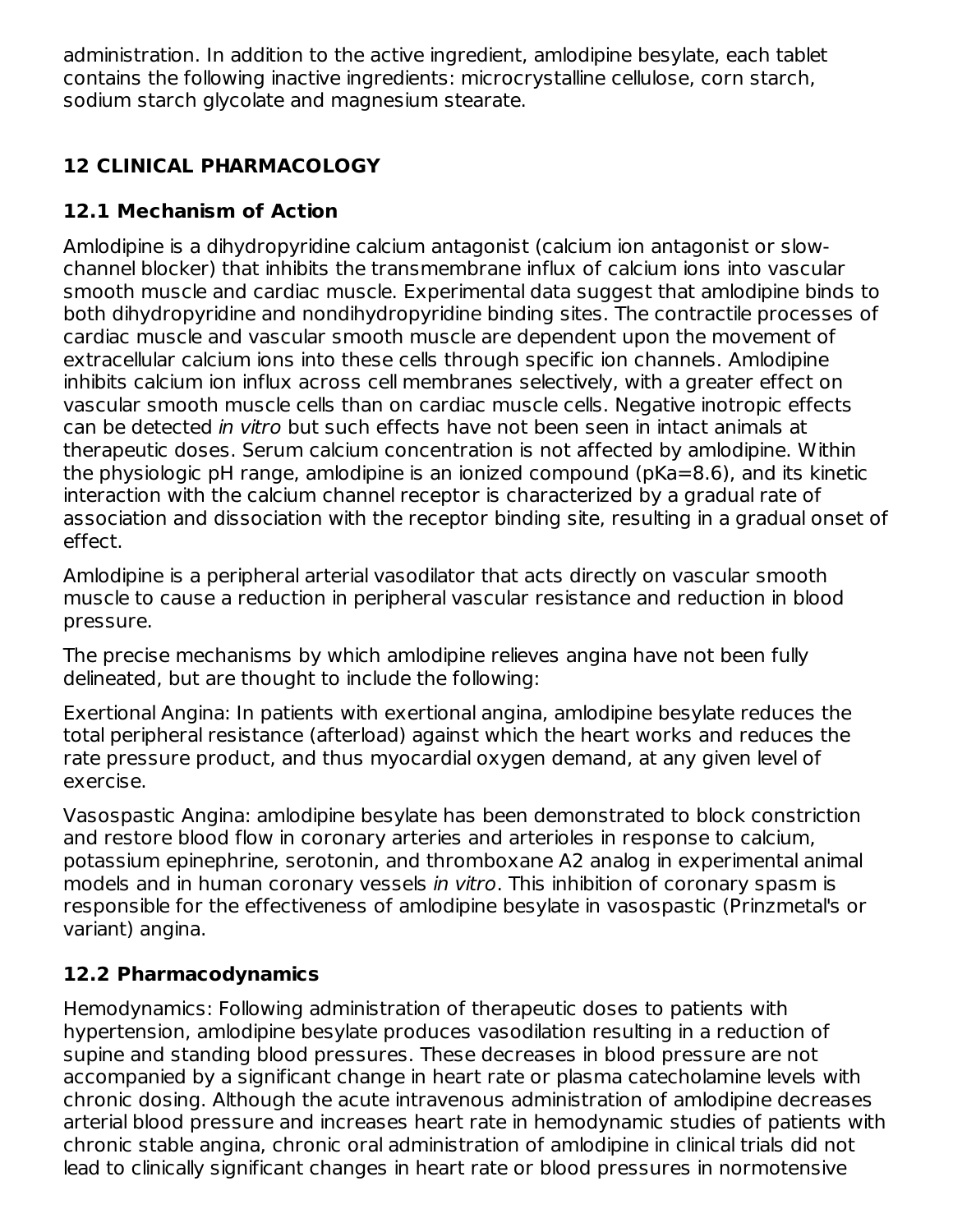administration. In addition to the active ingredient, amlodipine besylate, each tablet contains the following inactive ingredients: microcrystalline cellulose, corn starch, sodium starch glycolate and magnesium stearate.

# **12 CLINICAL PHARMACOLOGY**

# **12.1 Mechanism of Action**

Amlodipine is a dihydropyridine calcium antagonist (calcium ion antagonist or slowchannel blocker) that inhibits the transmembrane influx of calcium ions into vascular smooth muscle and cardiac muscle. Experimental data suggest that amlodipine binds to both dihydropyridine and nondihydropyridine binding sites. The contractile processes of cardiac muscle and vascular smooth muscle are dependent upon the movement of extracellular calcium ions into these cells through specific ion channels. Amlodipine inhibits calcium ion influx across cell membranes selectively, with a greater effect on vascular smooth muscle cells than on cardiac muscle cells. Negative inotropic effects can be detected in vitro but such effects have not been seen in intact animals at therapeutic doses. Serum calcium concentration is not affected by amlodipine. Within the physiologic pH range, amlodipine is an ionized compound (pKa=8.6), and its kinetic interaction with the calcium channel receptor is characterized by a gradual rate of association and dissociation with the receptor binding site, resulting in a gradual onset of effect.

Amlodipine is a peripheral arterial vasodilator that acts directly on vascular smooth muscle to cause a reduction in peripheral vascular resistance and reduction in blood pressure.

The precise mechanisms by which amlodipine relieves angina have not been fully delineated, but are thought to include the following:

Exertional Angina: In patients with exertional angina, amlodipine besylate reduces the total peripheral resistance (afterload) against which the heart works and reduces the rate pressure product, and thus myocardial oxygen demand, at any given level of exercise.

Vasospastic Angina: amlodipine besylate has been demonstrated to block constriction and restore blood flow in coronary arteries and arterioles in response to calcium, potassium epinephrine, serotonin, and thromboxane A2 analog in experimental animal models and in human coronary vessels in vitro. This inhibition of coronary spasm is responsible for the effectiveness of amlodipine besylate in vasospastic (Prinzmetal's or variant) angina.

# **12.2 Pharmacodynamics**

Hemodynamics: Following administration of therapeutic doses to patients with hypertension, amlodipine besylate produces vasodilation resulting in a reduction of supine and standing blood pressures. These decreases in blood pressure are not accompanied by a significant change in heart rate or plasma catecholamine levels with chronic dosing. Although the acute intravenous administration of amlodipine decreases arterial blood pressure and increases heart rate in hemodynamic studies of patients with chronic stable angina, chronic oral administration of amlodipine in clinical trials did not lead to clinically significant changes in heart rate or blood pressures in normotensive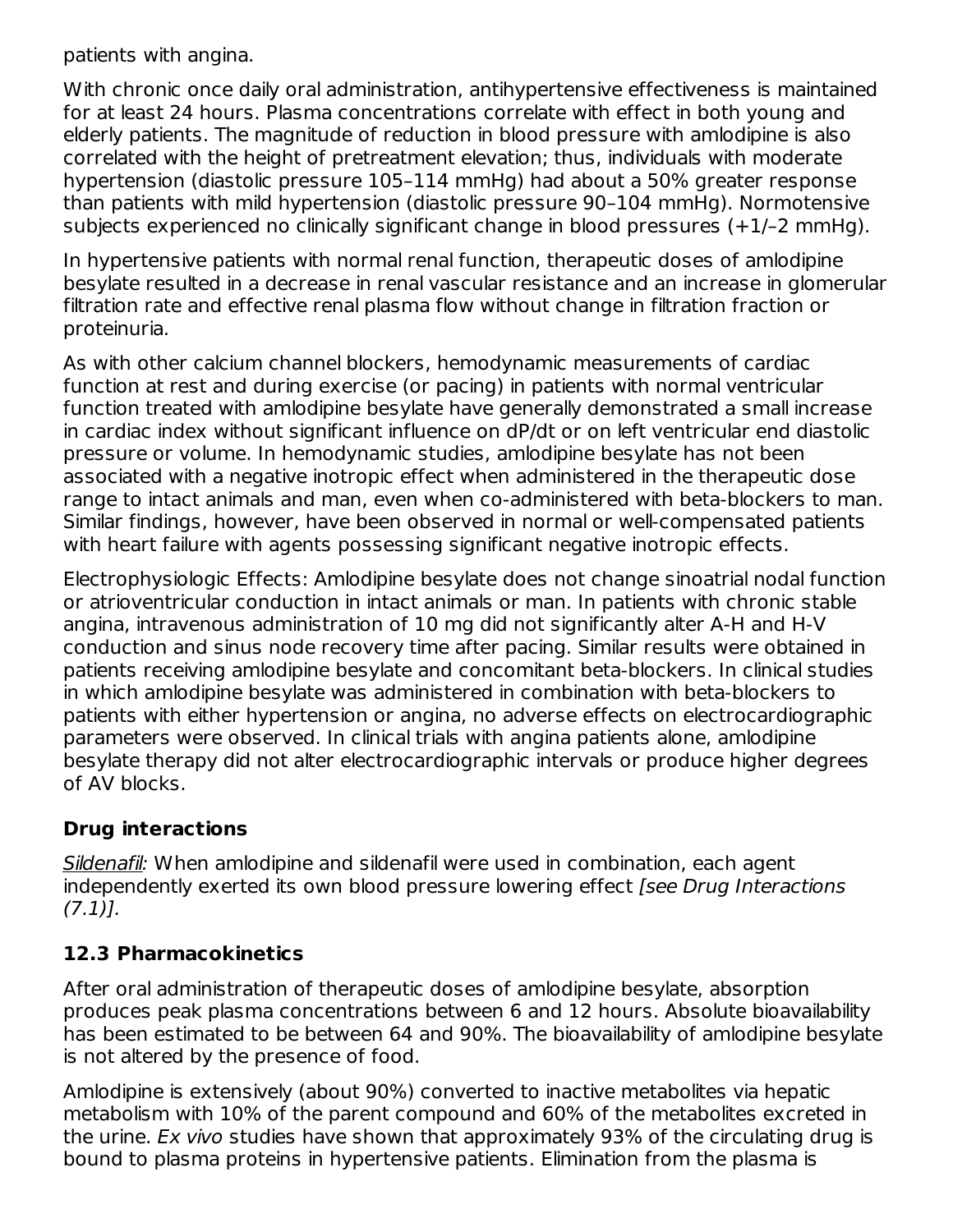patients with angina.

With chronic once daily oral administration, antihypertensive effectiveness is maintained for at least 24 hours. Plasma concentrations correlate with effect in both young and elderly patients. The magnitude of reduction in blood pressure with amlodipine is also correlated with the height of pretreatment elevation; thus, individuals with moderate hypertension (diastolic pressure 105–114 mmHg) had about a 50% greater response than patients with mild hypertension (diastolic pressure 90–104 mmHg). Normotensive subjects experienced no clinically significant change in blood pressures (+1/–2 mmHg).

In hypertensive patients with normal renal function, therapeutic doses of amlodipine besylate resulted in a decrease in renal vascular resistance and an increase in glomerular filtration rate and effective renal plasma flow without change in filtration fraction or proteinuria.

As with other calcium channel blockers, hemodynamic measurements of cardiac function at rest and during exercise (or pacing) in patients with normal ventricular function treated with amlodipine besylate have generally demonstrated a small increase in cardiac index without significant influence on dP/dt or on left ventricular end diastolic pressure or volume. In hemodynamic studies, amlodipine besylate has not been associated with a negative inotropic effect when administered in the therapeutic dose range to intact animals and man, even when co-administered with beta-blockers to man. Similar findings, however, have been observed in normal or well-compensated patients with heart failure with agents possessing significant negative inotropic effects.

Electrophysiologic Effects: Amlodipine besylate does not change sinoatrial nodal function or atrioventricular conduction in intact animals or man. In patients with chronic stable angina, intravenous administration of 10 mg did not significantly alter A-H and H-V conduction and sinus node recovery time after pacing. Similar results were obtained in patients receiving amlodipine besylate and concomitant beta-blockers. In clinical studies in which amlodipine besylate was administered in combination with beta-blockers to patients with either hypertension or angina, no adverse effects on electrocardiographic parameters were observed. In clinical trials with angina patients alone, amlodipine besylate therapy did not alter electrocardiographic intervals or produce higher degrees of AV blocks.

### **Drug interactions**

Sildenafil: When amlodipine and sildenafil were used in combination, each agent independently exerted its own blood pressure lowering effect *[see Drug Interactions* (7.1)].

### **12.3 Pharmacokinetics**

After oral administration of therapeutic doses of amlodipine besylate, absorption produces peak plasma concentrations between 6 and 12 hours. Absolute bioavailability has been estimated to be between 64 and 90%. The bioavailability of amlodipine besylate is not altered by the presence of food.

Amlodipine is extensively (about 90%) converted to inactive metabolites via hepatic metabolism with 10% of the parent compound and 60% of the metabolites excreted in the urine. Ex vivo studies have shown that approximately 93% of the circulating drug is bound to plasma proteins in hypertensive patients. Elimination from the plasma is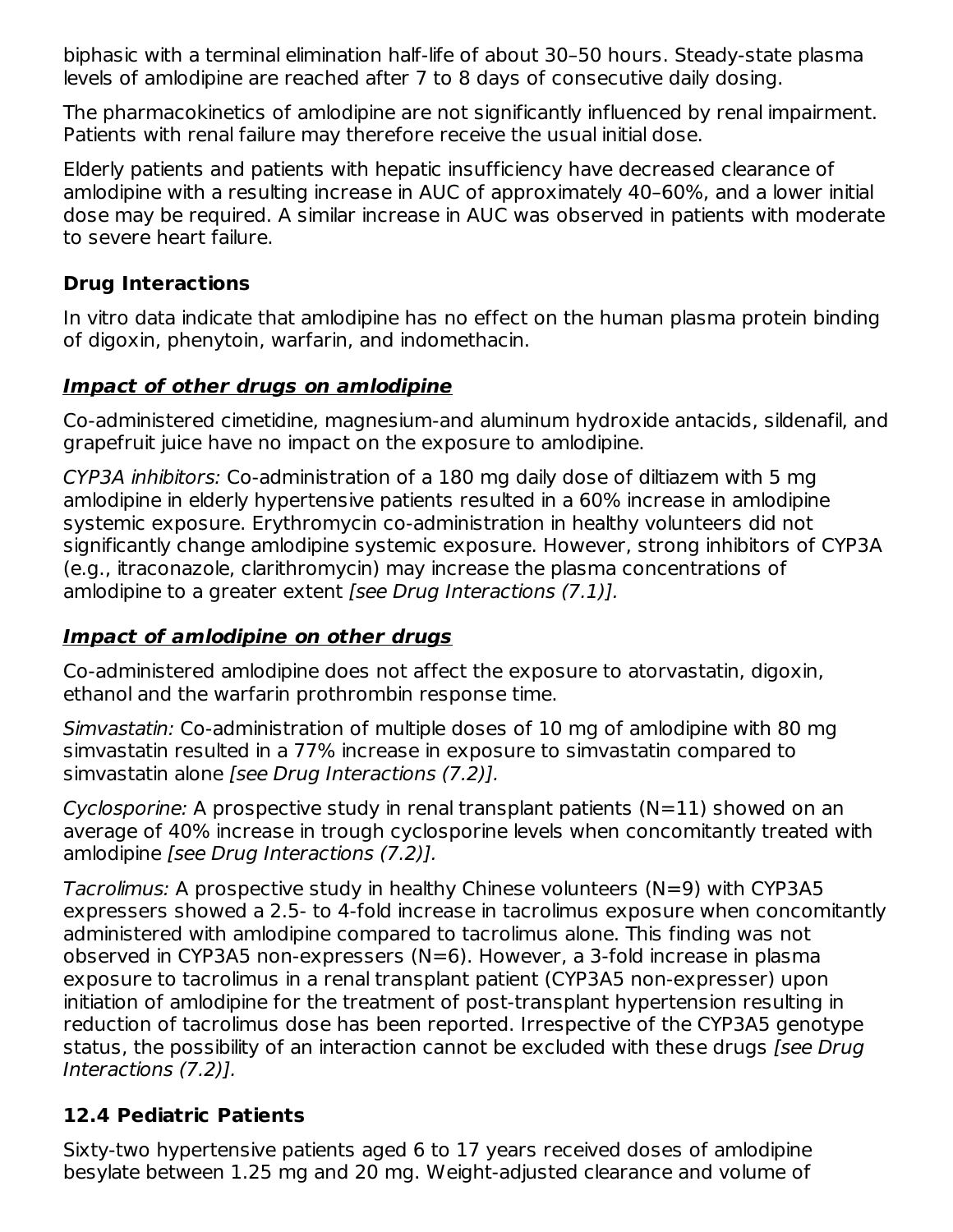biphasic with a terminal elimination half-life of about 30–50 hours. Steady-state plasma levels of amlodipine are reached after 7 to 8 days of consecutive daily dosing.

The pharmacokinetics of amlodipine are not significantly influenced by renal impairment. Patients with renal failure may therefore receive the usual initial dose.

Elderly patients and patients with hepatic insufficiency have decreased clearance of amlodipine with a resulting increase in AUC of approximately 40–60%, and a lower initial dose may be required. A similar increase in AUC was observed in patients with moderate to severe heart failure.

### **Drug Interactions**

In vitro data indicate that amlodipine has no effect on the human plasma protein binding of digoxin, phenytoin, warfarin, and indomethacin.

### **Impact of other drugs on amlodipine**

Co-administered cimetidine, magnesium-and aluminum hydroxide antacids, sildenafil, and grapefruit juice have no impact on the exposure to amlodipine.

CYP3A inhibitors: Co-administration of a 180 mg daily dose of diltiazem with 5 mg amlodipine in elderly hypertensive patients resulted in a 60% increase in amlodipine systemic exposure. Erythromycin co-administration in healthy volunteers did not significantly change amlodipine systemic exposure. However, strong inhibitors of CYP3A (e.g., itraconazole, clarithromycin) may increase the plasma concentrations of amlodipine to a greater extent [see Drug Interactions (7.1)].

# **Impact of amlodipine on other drugs**

Co-administered amlodipine does not affect the exposure to atorvastatin, digoxin, ethanol and the warfarin prothrombin response time.

Simvastatin: Co-administration of multiple doses of 10 mg of amlodipine with 80 mg simvastatin resulted in a 77% increase in exposure to simvastatin compared to simvastatin alone [see Drug Interactions (7.2)].

Cyclosporine: A prospective study in renal transplant patients  $(N=11)$  showed on an average of 40% increase in trough cyclosporine levels when concomitantly treated with amlodipine [see Drug Interactions (7.2)].

Tacrolimus: A prospective study in healthy Chinese volunteers (N=9) with CYP3A5 expressers showed a 2.5- to 4-fold increase in tacrolimus exposure when concomitantly administered with amlodipine compared to tacrolimus alone. This finding was not observed in CYP3A5 non-expressers (N=6). However, a 3-fold increase in plasma exposure to tacrolimus in a renal transplant patient (CYP3A5 non-expresser) upon initiation of amlodipine for the treatment of post-transplant hypertension resulting in reduction of tacrolimus dose has been reported. Irrespective of the CYP3A5 genotype status, the possibility of an interaction cannot be excluded with these drugs [see Drug Interactions (7.2)].

# **12.4 Pediatric Patients**

Sixty-two hypertensive patients aged 6 to 17 years received doses of amlodipine besylate between 1.25 mg and 20 mg. Weight-adjusted clearance and volume of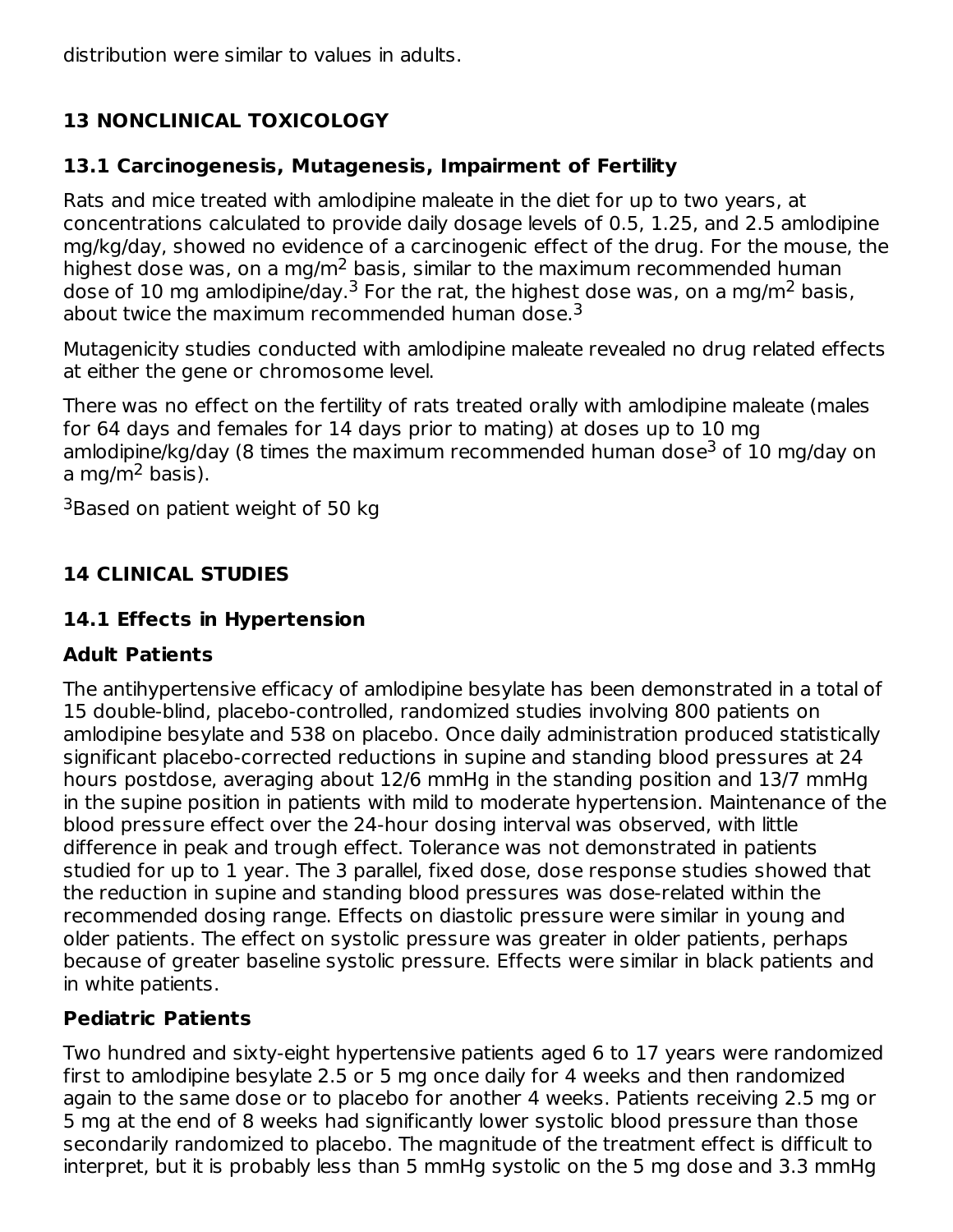distribution were similar to values in adults.

# **13 NONCLINICAL TOXICOLOGY**

#### **13.1 Carcinogenesis, Mutagenesis, Impairment of Fertility**

Rats and mice treated with amlodipine maleate in the diet for up to two years, at concentrations calculated to provide daily dosage levels of 0.5, 1.25, and 2.5 amlodipine mg/kg/day, showed no evidence of a carcinogenic effect of the drug. For the mouse, the highest dose was, on a mg/m $^2$  basis, similar to the maximum recommended human dose of 10 mg amlodipine/day. $3$  For the rat, the highest dose was, on a mg/m<sup>2</sup> basis, about twice the maximum recommended human dose. $^3$ 

Mutagenicity studies conducted with amlodipine maleate revealed no drug related effects at either the gene or chromosome level.

There was no effect on the fertility of rats treated orally with amlodipine maleate (males for 64 days and females for 14 days prior to mating) at doses up to 10 mg amlodipine/kg/day (8 times the maximum recommended human dose<sup>3</sup> of 10 mg/day on a mg/m<sup>2</sup> basis).

<sup>3</sup>Based on patient weight of 50 kg

# **14 CLINICAL STUDIES**

### **14.1 Effects in Hypertension**

#### **Adult Patients**

The antihypertensive efficacy of amlodipine besylate has been demonstrated in a total of 15 double-blind, placebo-controlled, randomized studies involving 800 patients on amlodipine besylate and 538 on placebo. Once daily administration produced statistically significant placebo-corrected reductions in supine and standing blood pressures at 24 hours postdose, averaging about 12/6 mmHg in the standing position and 13/7 mmHg in the supine position in patients with mild to moderate hypertension. Maintenance of the blood pressure effect over the 24-hour dosing interval was observed, with little difference in peak and trough effect. Tolerance was not demonstrated in patients studied for up to 1 year. The 3 parallel, fixed dose, dose response studies showed that the reduction in supine and standing blood pressures was dose-related within the recommended dosing range. Effects on diastolic pressure were similar in young and older patients. The effect on systolic pressure was greater in older patients, perhaps because of greater baseline systolic pressure. Effects were similar in black patients and in white patients.

#### **Pediatric Patients**

Two hundred and sixty-eight hypertensive patients aged 6 to 17 years were randomized first to amlodipine besylate 2.5 or 5 mg once daily for 4 weeks and then randomized again to the same dose or to placebo for another 4 weeks. Patients receiving 2.5 mg or 5 mg at the end of 8 weeks had significantly lower systolic blood pressure than those secondarily randomized to placebo. The magnitude of the treatment effect is difficult to interpret, but it is probably less than 5 mmHg systolic on the 5 mg dose and 3.3 mmHg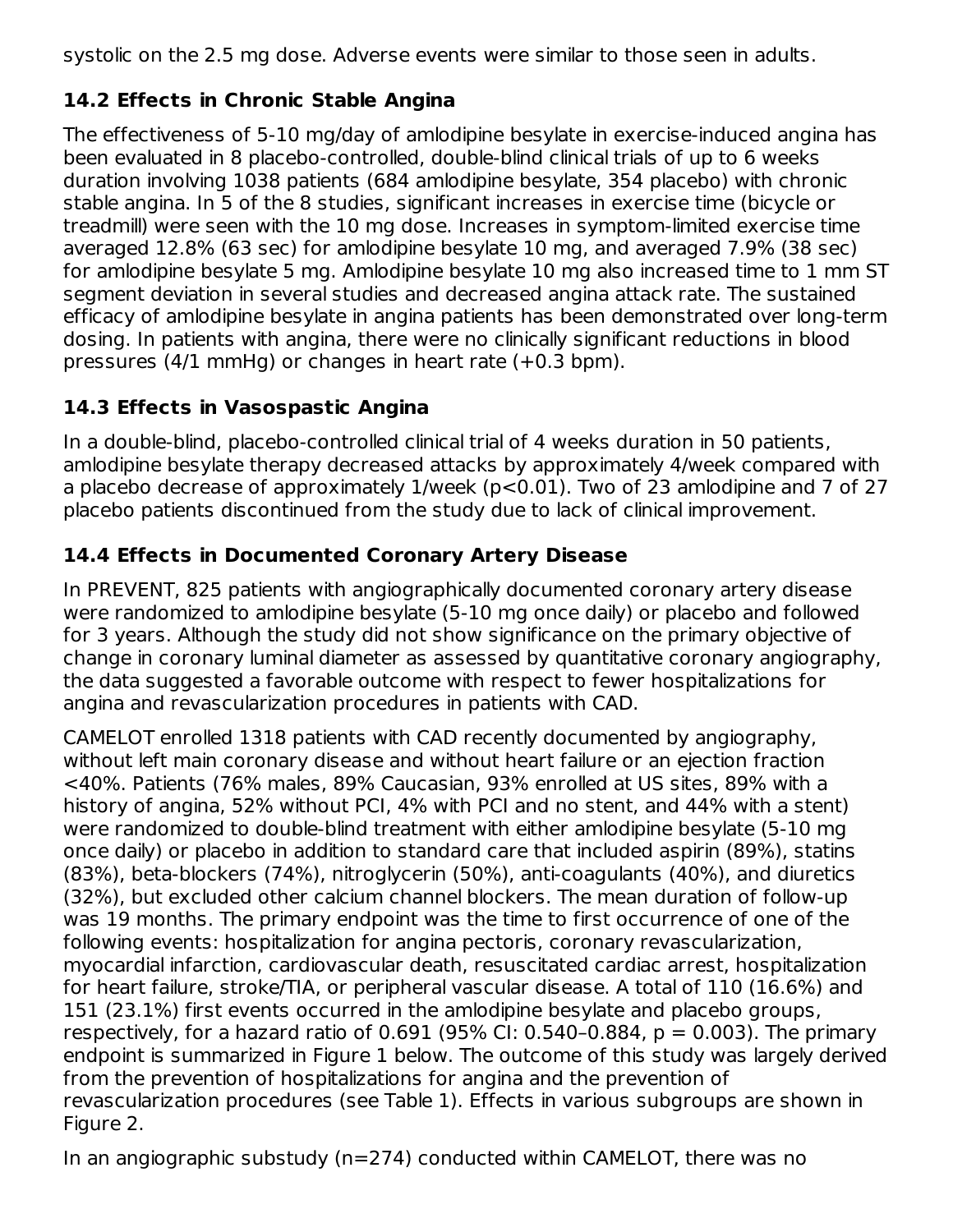systolic on the 2.5 mg dose. Adverse events were similar to those seen in adults.

# **14.2 Effects in Chronic Stable Angina**

The effectiveness of 5-10 mg/day of amlodipine besylate in exercise-induced angina has been evaluated in 8 placebo-controlled, double-blind clinical trials of up to 6 weeks duration involving 1038 patients (684 amlodipine besylate, 354 placebo) with chronic stable angina. In 5 of the 8 studies, significant increases in exercise time (bicycle or treadmill) were seen with the 10 mg dose. Increases in symptom-limited exercise time averaged 12.8% (63 sec) for amlodipine besylate 10 mg, and averaged 7.9% (38 sec) for amlodipine besylate 5 mg. Amlodipine besylate 10 mg also increased time to 1 mm ST segment deviation in several studies and decreased angina attack rate. The sustained efficacy of amlodipine besylate in angina patients has been demonstrated over long-term dosing. In patients with angina, there were no clinically significant reductions in blood pressures (4/1 mmHg) or changes in heart rate (+0.3 bpm).

# **14.3 Effects in Vasospastic Angina**

In a double-blind, placebo-controlled clinical trial of 4 weeks duration in 50 patients, amlodipine besylate therapy decreased attacks by approximately 4/week compared with a placebo decrease of approximately 1/week (p<0.01). Two of 23 amlodipine and 7 of 27 placebo patients discontinued from the study due to lack of clinical improvement.

# **14.4 Effects in Documented Coronary Artery Disease**

In PREVENT, 825 patients with angiographically documented coronary artery disease were randomized to amlodipine besylate (5-10 mg once daily) or placebo and followed for 3 years. Although the study did not show significance on the primary objective of change in coronary luminal diameter as assessed by quantitative coronary angiography, the data suggested a favorable outcome with respect to fewer hospitalizations for angina and revascularization procedures in patients with CAD.

CAMELOT enrolled 1318 patients with CAD recently documented by angiography, without left main coronary disease and without heart failure or an ejection fraction <40%. Patients (76% males, 89% Caucasian, 93% enrolled at US sites, 89% with a history of angina, 52% without PCI, 4% with PCI and no stent, and 44% with a stent) were randomized to double-blind treatment with either amlodipine besylate (5-10 mg once daily) or placebo in addition to standard care that included aspirin (89%), statins (83%), beta-blockers (74%), nitroglycerin (50%), anti-coagulants (40%), and diuretics (32%), but excluded other calcium channel blockers. The mean duration of follow-up was 19 months. The primary endpoint was the time to first occurrence of one of the following events: hospitalization for angina pectoris, coronary revascularization, myocardial infarction, cardiovascular death, resuscitated cardiac arrest, hospitalization for heart failure, stroke/TIA, or peripheral vascular disease. A total of 110 (16.6%) and 151 (23.1%) first events occurred in the amlodipine besylate and placebo groups, respectively, for a hazard ratio of 0.691 (95% CI: 0.540-0.884,  $p = 0.003$ ). The primary endpoint is summarized in Figure 1 below. The outcome of this study was largely derived from the prevention of hospitalizations for angina and the prevention of revascularization procedures (see Table 1). Effects in various subgroups are shown in Figure 2.

In an angiographic substudy (n=274) conducted within CAMELOT, there was no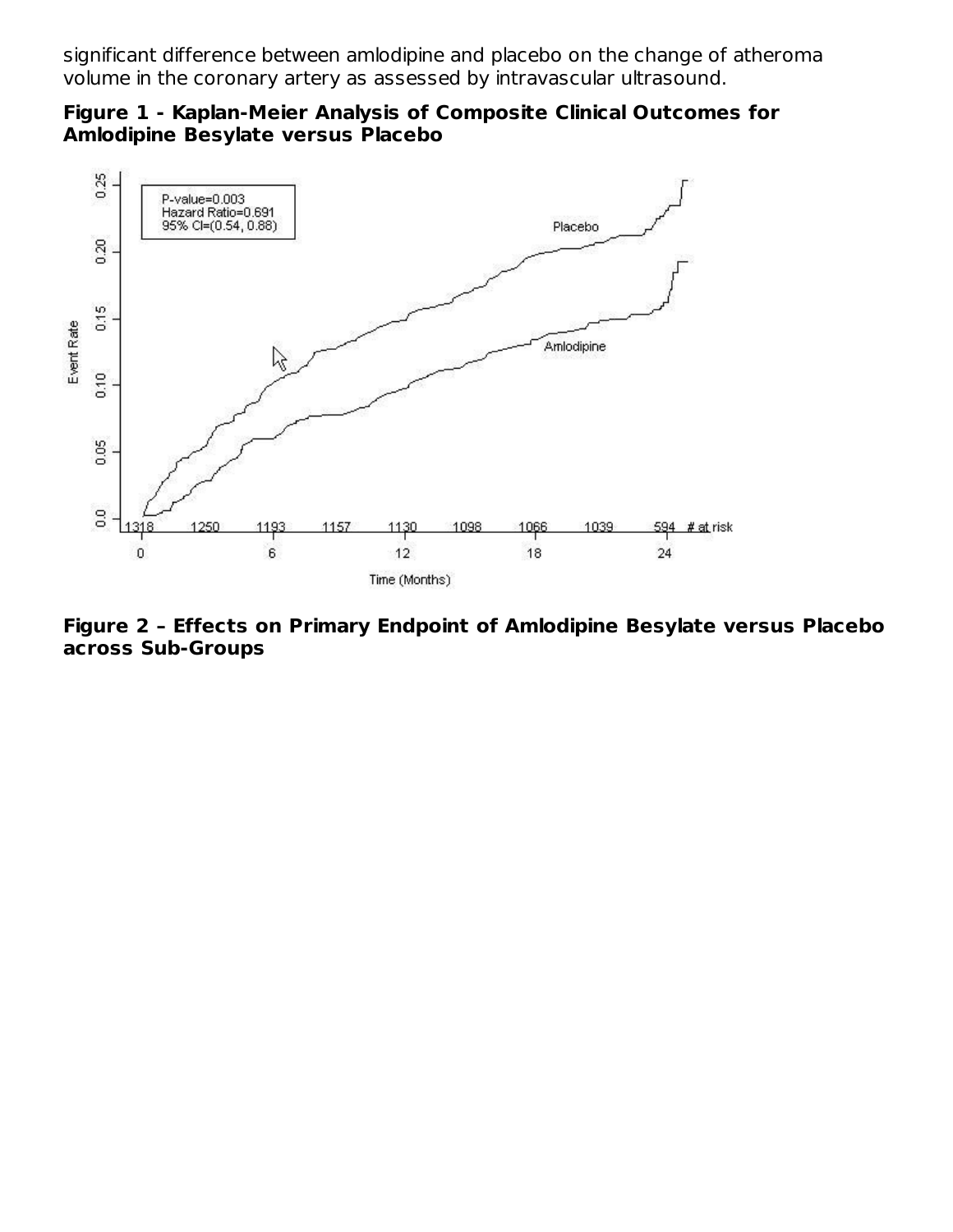significant difference between amlodipine and placebo on the change of atheroma volume in the coronary artery as assessed by intravascular ultrasound.





**Figure 2 – Effects on Primary Endpoint of Amlodipine Besylate versus Placebo across Sub-Groups**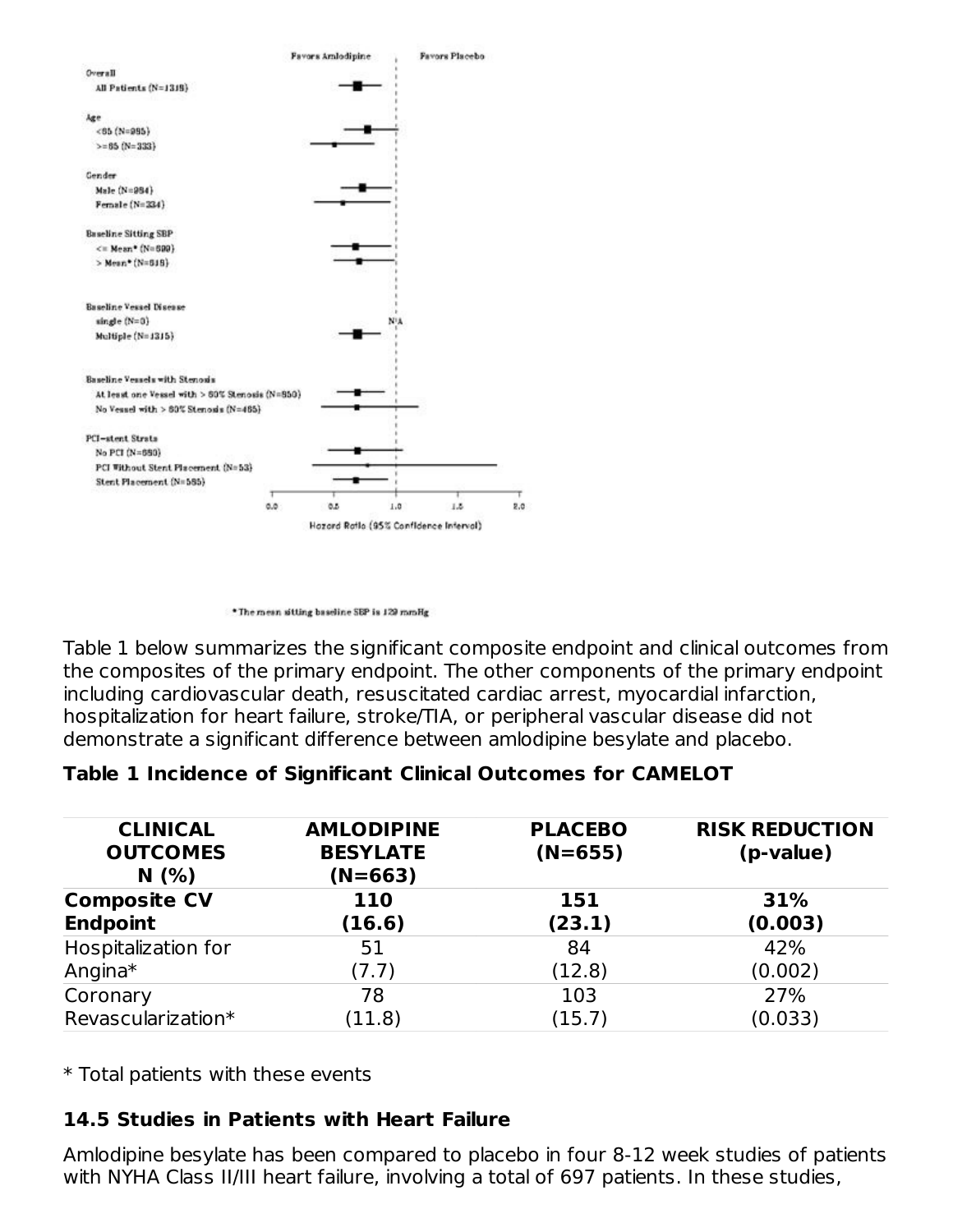

\* The mean sitting baseline SEP is 129 mmHg

Table 1 below summarizes the significant composite endpoint and clinical outcomes from the composites of the primary endpoint. The other components of the primary endpoint including cardiovascular death, resuscitated cardiac arrest, myocardial infarction, hospitalization for heart failure, stroke/TIA, or peripheral vascular disease did not demonstrate a significant difference between amlodipine besylate and placebo.

#### **Table 1 Incidence of Significant Clinical Outcomes for CAMELOT**

| <b>CLINICAL</b><br><b>OUTCOMES</b><br>N(% ) | <b>AMLODIPINE</b><br><b>BESYLATE</b><br>$(N=663)$ | <b>PLACEBO</b><br>$(N=655)$ | <b>RISK REDUCTION</b><br>(p-value) |
|---------------------------------------------|---------------------------------------------------|-----------------------------|------------------------------------|
| <b>Composite CV</b>                         | 110                                               | 151                         | 31%                                |
| <b>Endpoint</b>                             | (16.6)                                            | (23.1)                      | (0.003)                            |
| Hospitalization for                         | 51                                                | 84                          | 42%                                |
| Angina*                                     | (7.7)                                             | (12.8)                      | (0.002)                            |
| Coronary                                    | 78                                                | 103                         | 27%                                |
| Revascularization*                          | (11.8)                                            | (15.7)                      | (0.033)                            |

\* Total patients with these events

#### **14.5 Studies in Patients with Heart Failure**

Amlodipine besylate has been compared to placebo in four 8-12 week studies of patients with NYHA Class II/III heart failure, involving a total of 697 patients. In these studies,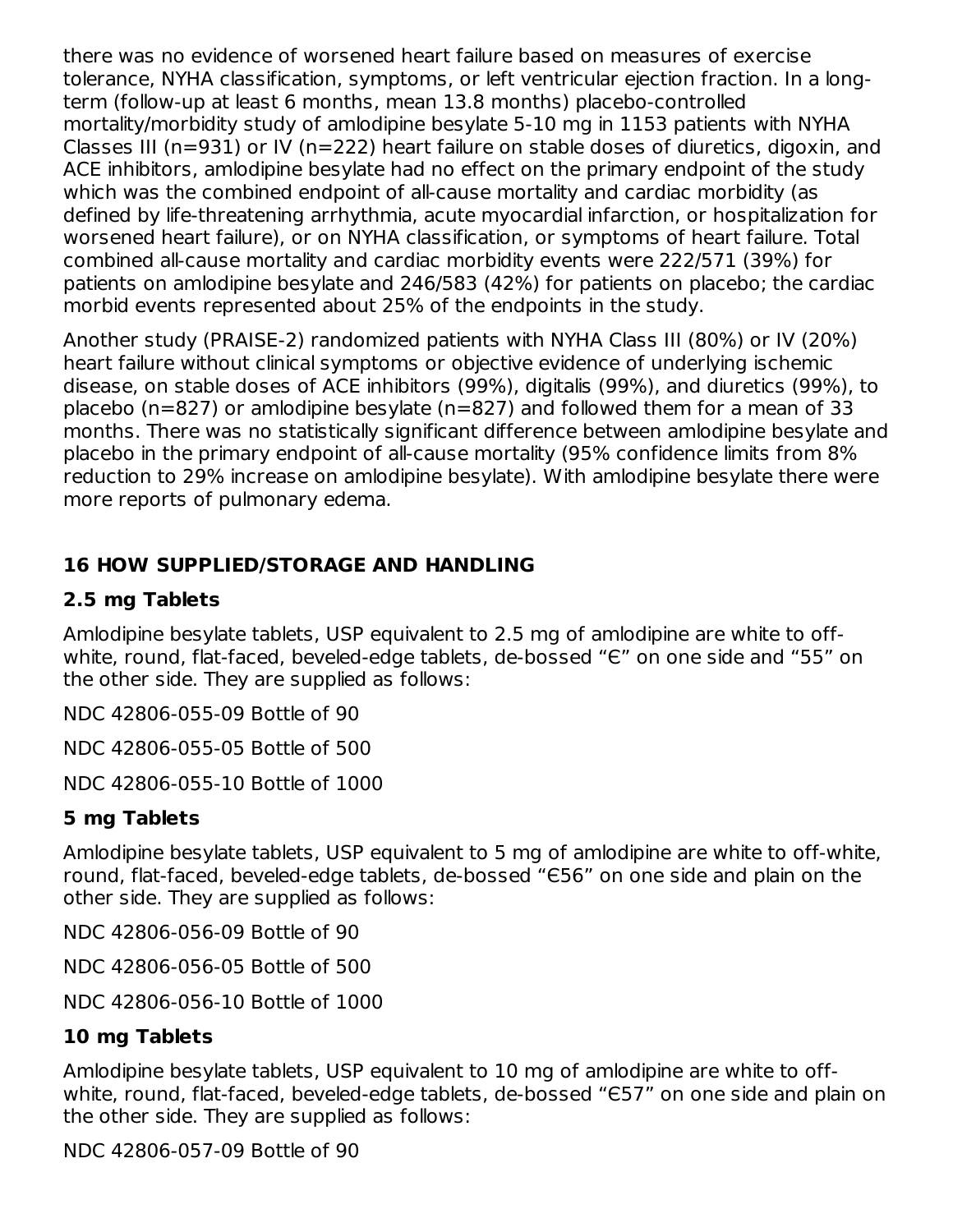there was no evidence of worsened heart failure based on measures of exercise tolerance, NYHA classification, symptoms, or left ventricular ejection fraction. In a longterm (follow-up at least 6 months, mean 13.8 months) placebo-controlled mortality/morbidity study of amlodipine besylate 5-10 mg in 1153 patients with NYHA Classes III (n=931) or IV (n=222) heart failure on stable doses of diuretics, digoxin, and ACE inhibitors, amlodipine besylate had no effect on the primary endpoint of the study which was the combined endpoint of all-cause mortality and cardiac morbidity (as defined by life-threatening arrhythmia, acute myocardial infarction, or hospitalization for worsened heart failure), or on NYHA classification, or symptoms of heart failure. Total combined all-cause mortality and cardiac morbidity events were 222/571 (39%) for patients on amlodipine besylate and 246/583 (42%) for patients on placebo; the cardiac morbid events represented about 25% of the endpoints in the study.

Another study (PRAISE-2) randomized patients with NYHA Class III (80%) or IV (20%) heart failure without clinical symptoms or objective evidence of underlying ischemic disease, on stable doses of ACE inhibitors (99%), digitalis (99%), and diuretics (99%), to placebo (n=827) or amlodipine besylate (n=827) and followed them for a mean of 33 months. There was no statistically significant difference between amlodipine besylate and placebo in the primary endpoint of all-cause mortality (95% confidence limits from 8% reduction to 29% increase on amlodipine besylate). With amlodipine besylate there were more reports of pulmonary edema.

### **16 HOW SUPPLIED/STORAGE AND HANDLING**

#### **2.5 mg Tablets**

Amlodipine besylate tablets, USP equivalent to 2.5 mg of amlodipine are white to offwhite, round, flat-faced, beveled-edge tablets, de-bossed "Є" on one side and "55" on the other side. They are supplied as follows:

NDC 42806-055-09 Bottle of 90

NDC 42806-055-05 Bottle of 500

NDC 42806-055-10 Bottle of 1000

### **5 mg Tablets**

Amlodipine besylate tablets, USP equivalent to 5 mg of amlodipine are white to off-white, round, flat-faced, beveled-edge tablets, de-bossed "Є56" on one side and plain on the other side. They are supplied as follows:

NDC 42806-056-09 Bottle of 90

NDC 42806-056-05 Bottle of 500

NDC 42806-056-10 Bottle of 1000

### **10 mg Tablets**

Amlodipine besylate tablets, USP equivalent to 10 mg of amlodipine are white to offwhite, round, flat-faced, beveled-edge tablets, de-bossed "Є57" on one side and plain on the other side. They are supplied as follows:

NDC 42806-057-09 Bottle of 90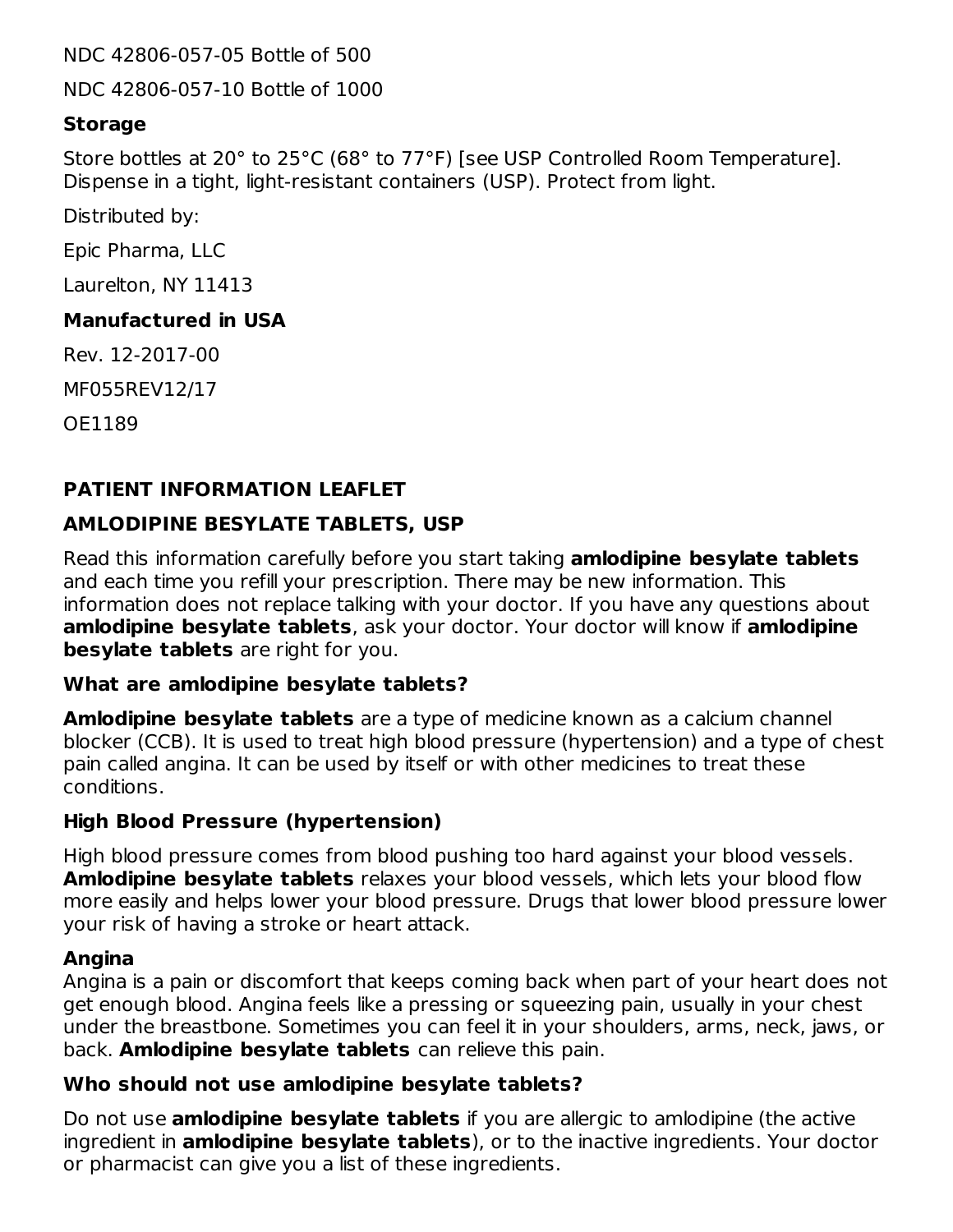NDC 42806-057-05 Bottle of 500

NDC 42806-057-10 Bottle of 1000

### **Storage**

Store bottles at 20° to 25°C (68° to 77°F) [see USP Controlled Room Temperature]. Dispense in a tight, light-resistant containers (USP). Protect from light.

Distributed by:

Epic Pharma, LLC

Laurelton, NY 11413

### **Manufactured in USA**

Rev. 12-2017-00 MF055REV12/17

OE1189

# **PATIENT INFORMATION LEAFLET**

# **AMLODIPINE BESYLATE TABLETS, USP**

Read this information carefully before you start taking **amlodipine besylate tablets** and each time you refill your prescription. There may be new information. This information does not replace talking with your doctor. If you have any questions about **amlodipine besylate tablets**, ask your doctor. Your doctor will know if **amlodipine besylate tablets** are right for you.

### **What are amlodipine besylate tablets?**

**Amlodipine besylate tablets** are a type of medicine known as a calcium channel blocker (CCB). It is used to treat high blood pressure (hypertension) and a type of chest pain called angina. It can be used by itself or with other medicines to treat these conditions.

### **High Blood Pressure (hypertension)**

High blood pressure comes from blood pushing too hard against your blood vessels. **Amlodipine besylate tablets** relaxes your blood vessels, which lets your blood flow more easily and helps lower your blood pressure. Drugs that lower blood pressure lower your risk of having a stroke or heart attack.

### **Angina**

Angina is a pain or discomfort that keeps coming back when part of your heart does not get enough blood. Angina feels like a pressing or squeezing pain, usually in your chest under the breastbone. Sometimes you can feel it in your shoulders, arms, neck, jaws, or back. **Amlodipine besylate tablets** can relieve this pain.

### **Who should not use amlodipine besylate tablets?**

Do not use **amlodipine besylate tablets** if you are allergic to amlodipine (the active ingredient in **amlodipine besylate tablets**), or to the inactive ingredients. Your doctor or pharmacist can give you a list of these ingredients.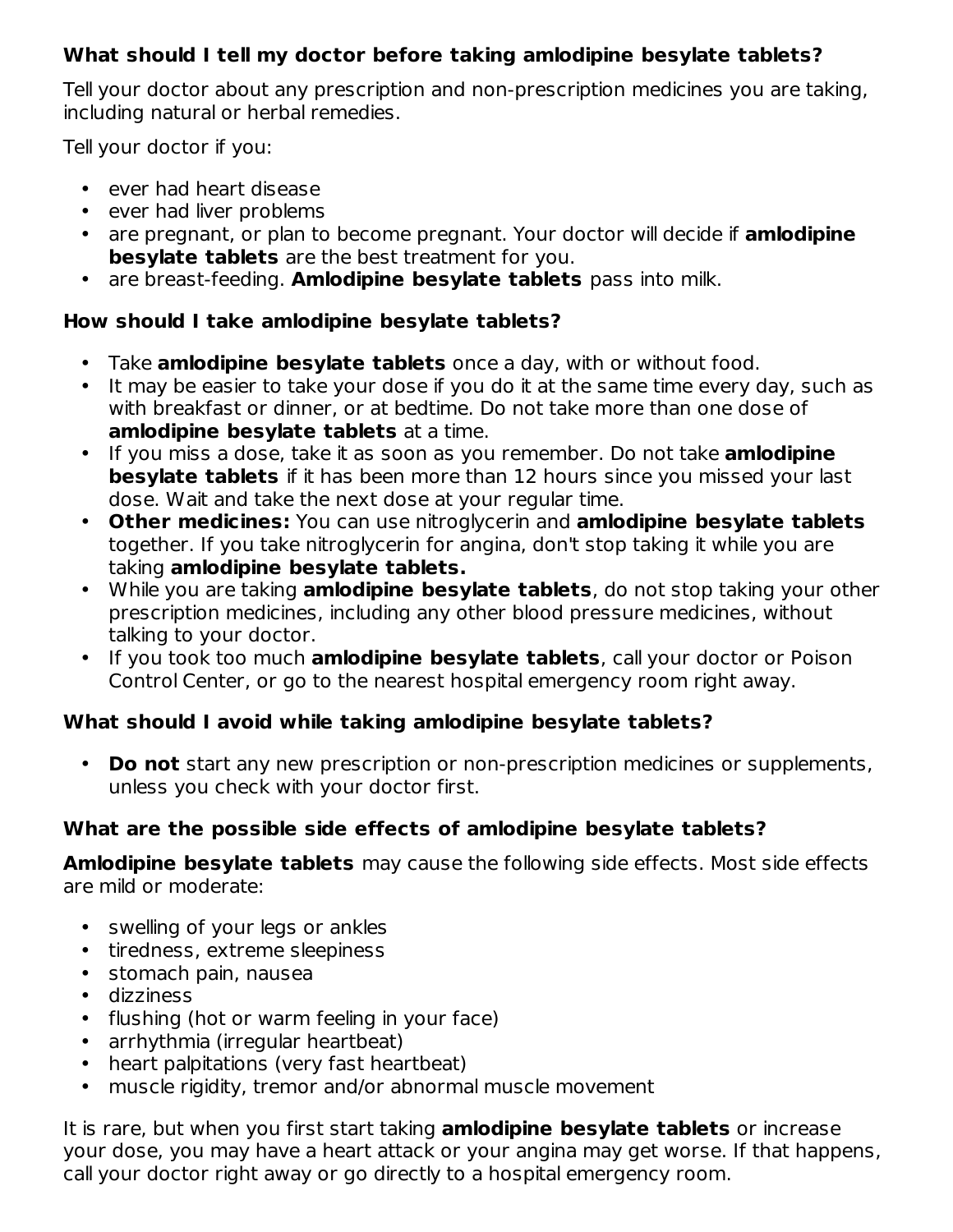### **What should I tell my doctor before taking amlodipine besylate tablets?**

Tell your doctor about any prescription and non-prescription medicines you are taking, including natural or herbal remedies.

Tell your doctor if you:

- ever had heart disease
- ever had liver problems
- are pregnant, or plan to become pregnant. Your doctor will decide if **amlodipine besylate tablets** are the best treatment for you.
- are breast-feeding. **Amlodipine besylate tablets** pass into milk.

### **How should I take amlodipine besylate tablets?**

- Take **amlodipine besylate tablets** once a day, with or without food.
- It may be easier to take your dose if you do it at the same time every day, such as with breakfast or dinner, or at bedtime. Do not take more than one dose of **amlodipine besylate tablets** at a time.
- If you miss a dose, take it as soon as you remember. Do not take **amlodipine besylate tablets** if it has been more than 12 hours since you missed your last dose. Wait and take the next dose at your regular time.
- **Other medicines:** You can use nitroglycerin and **amlodipine besylate tablets** together. If you take nitroglycerin for angina, don't stop taking it while you are taking **amlodipine besylate tablets.**
- While you are taking **amlodipine besylate tablets**, do not stop taking your other prescription medicines, including any other blood pressure medicines, without talking to your doctor.
- If you took too much **amlodipine besylate tablets**, call your doctor or Poison Control Center, or go to the nearest hospital emergency room right away.

### **What should I avoid while taking amlodipine besylate tablets?**

• **Do not** start any new prescription or non-prescription medicines or supplements, unless you check with your doctor first.

# **What are the possible side effects of amlodipine besylate tablets?**

**Amlodipine besylate tablets** may cause the following side effects. Most side effects are mild or moderate:

- swelling of your legs or ankles
- tiredness, extreme sleepiness
- stomach pain, nausea
- dizziness
- flushing (hot or warm feeling in your face)
- arrhythmia (irregular heartbeat)
- heart palpitations (very fast heartbeat)
- muscle rigidity, tremor and/or abnormal muscle movement

It is rare, but when you first start taking **amlodipine besylate tablets** or increase your dose, you may have a heart attack or your angina may get worse. If that happens, call your doctor right away or go directly to a hospital emergency room.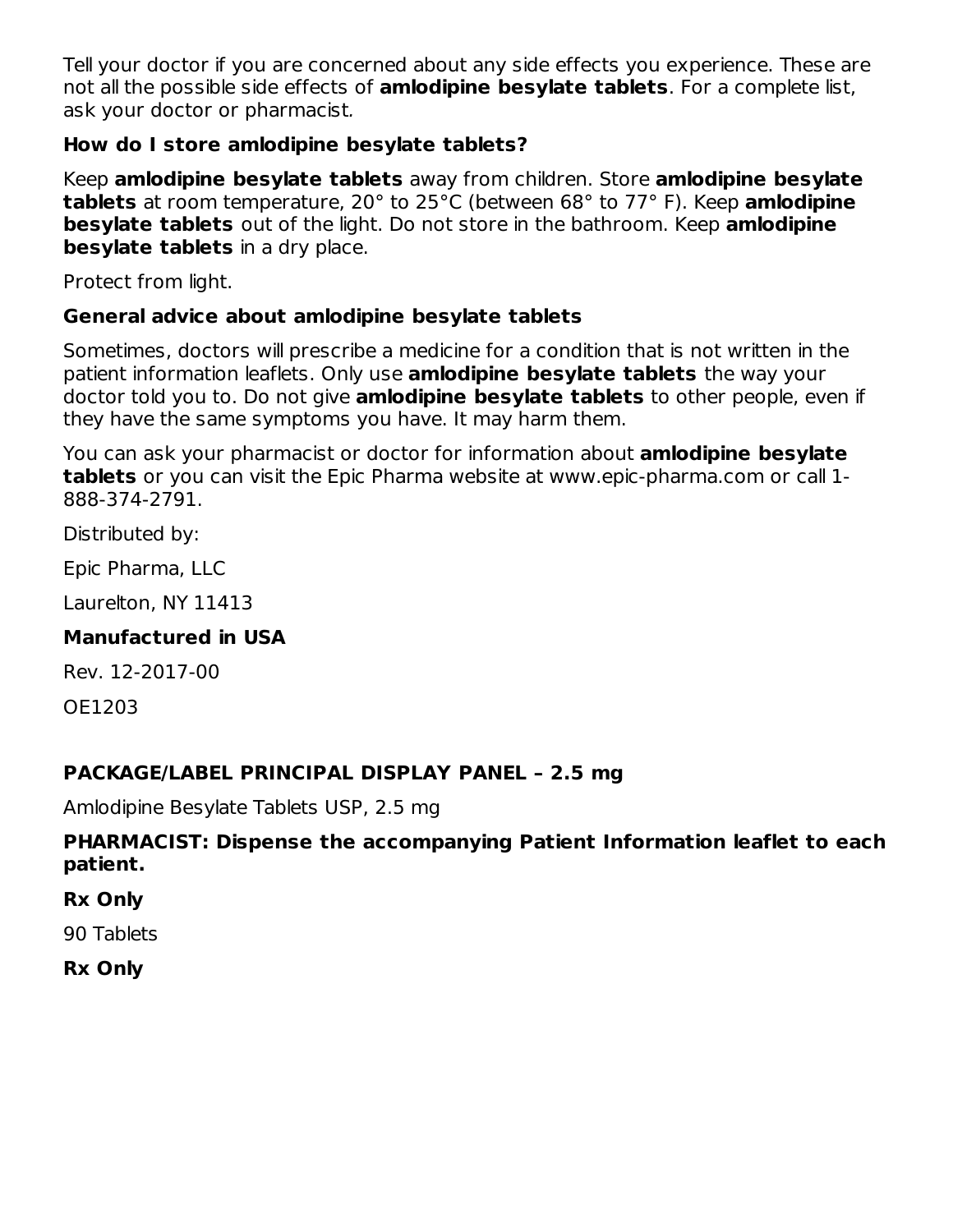Tell your doctor if you are concerned about any side effects you experience. These are not all the possible side effects of **amlodipine besylate tablets**. For a complete list, ask your doctor or pharmacist.

#### **How do I store amlodipine besylate tablets?**

Keep **amlodipine besylate tablets** away from children. Store **amlodipine besylate tablets** at room temperature, 20° to 25°C (between 68° to 77° F). Keep **amlodipine besylate tablets** out of the light. Do not store in the bathroom. Keep **amlodipine besylate tablets** in a dry place.

Protect from light.

#### **General advice about amlodipine besylate tablets**

Sometimes, doctors will prescribe a medicine for a condition that is not written in the patient information leaflets. Only use **amlodipine besylate tablets** the way your doctor told you to. Do not give **amlodipine besylate tablets** to other people, even if they have the same symptoms you have. It may harm them.

You can ask your pharmacist or doctor for information about **amlodipine besylate tablets** or you can visit the Epic Pharma website at www.epic-pharma.com or call 1- 888-374-2791.

Distributed by:

Epic Pharma, LLC

Laurelton, NY 11413

#### **Manufactured in USA**

Rev. 12-2017-00

OE1203

### **PACKAGE/LABEL PRINCIPAL DISPLAY PANEL – 2.5 mg**

Amlodipine Besylate Tablets USP, 2.5 mg

#### **PHARMACIST: Dispense the accompanying Patient Information leaflet to each patient.**

#### **Rx Only**

90 Tablets

**Rx Only**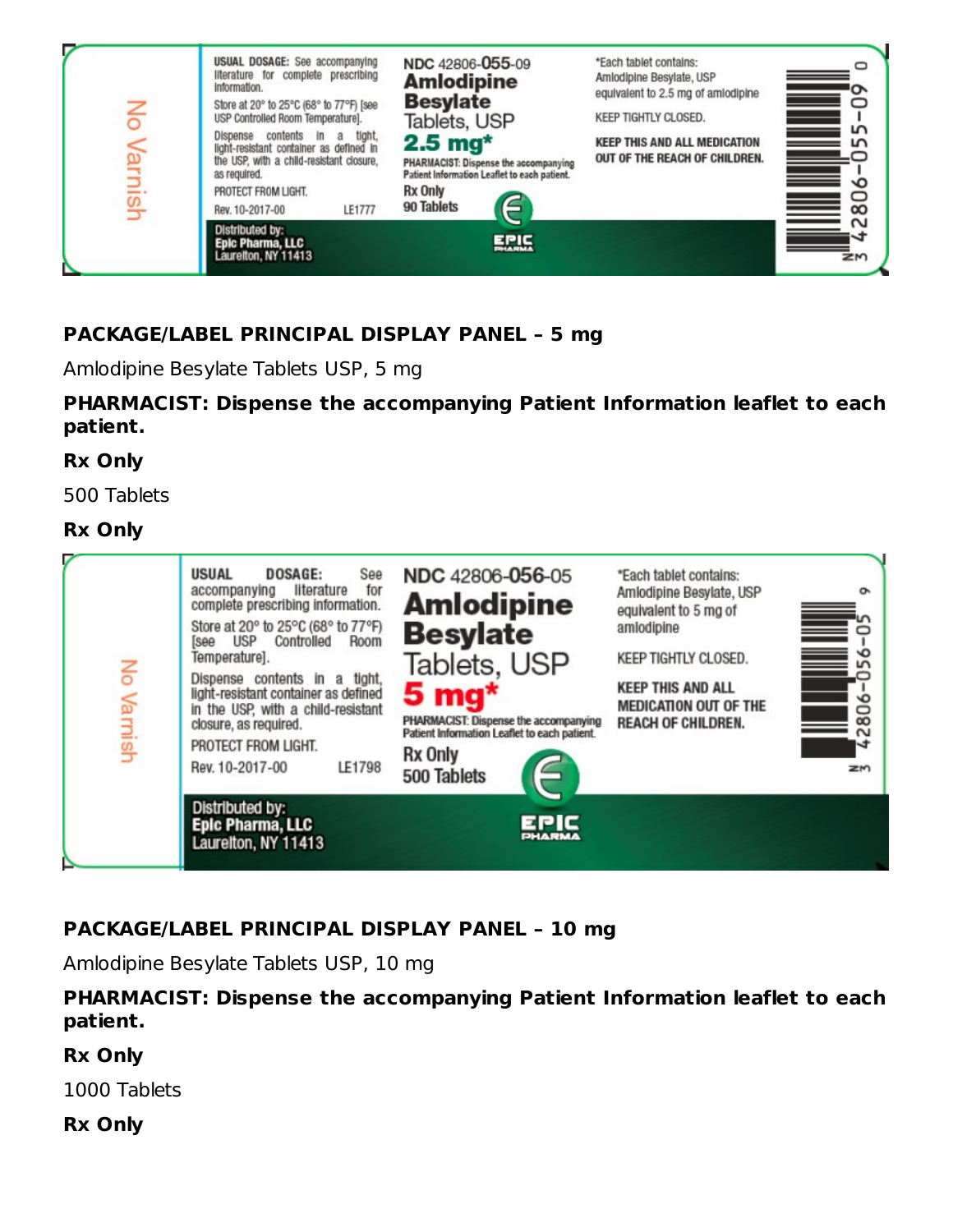

### **PACKAGE/LABEL PRINCIPAL DISPLAY PANEL – 5 mg**

Amlodipine Besylate Tablets USP, 5 mg

### **PHARMACIST: Dispense the accompanying Patient Information leaflet to each patient.**

#### **Rx Only**

500 Tablets

#### **Rx Only**



### **PACKAGE/LABEL PRINCIPAL DISPLAY PANEL – 10 mg**

Amlodipine Besylate Tablets USP, 10 mg

#### **PHARMACIST: Dispense the accompanying Patient Information leaflet to each patient.**

#### **Rx Only**

1000 Tablets

#### **Rx Only**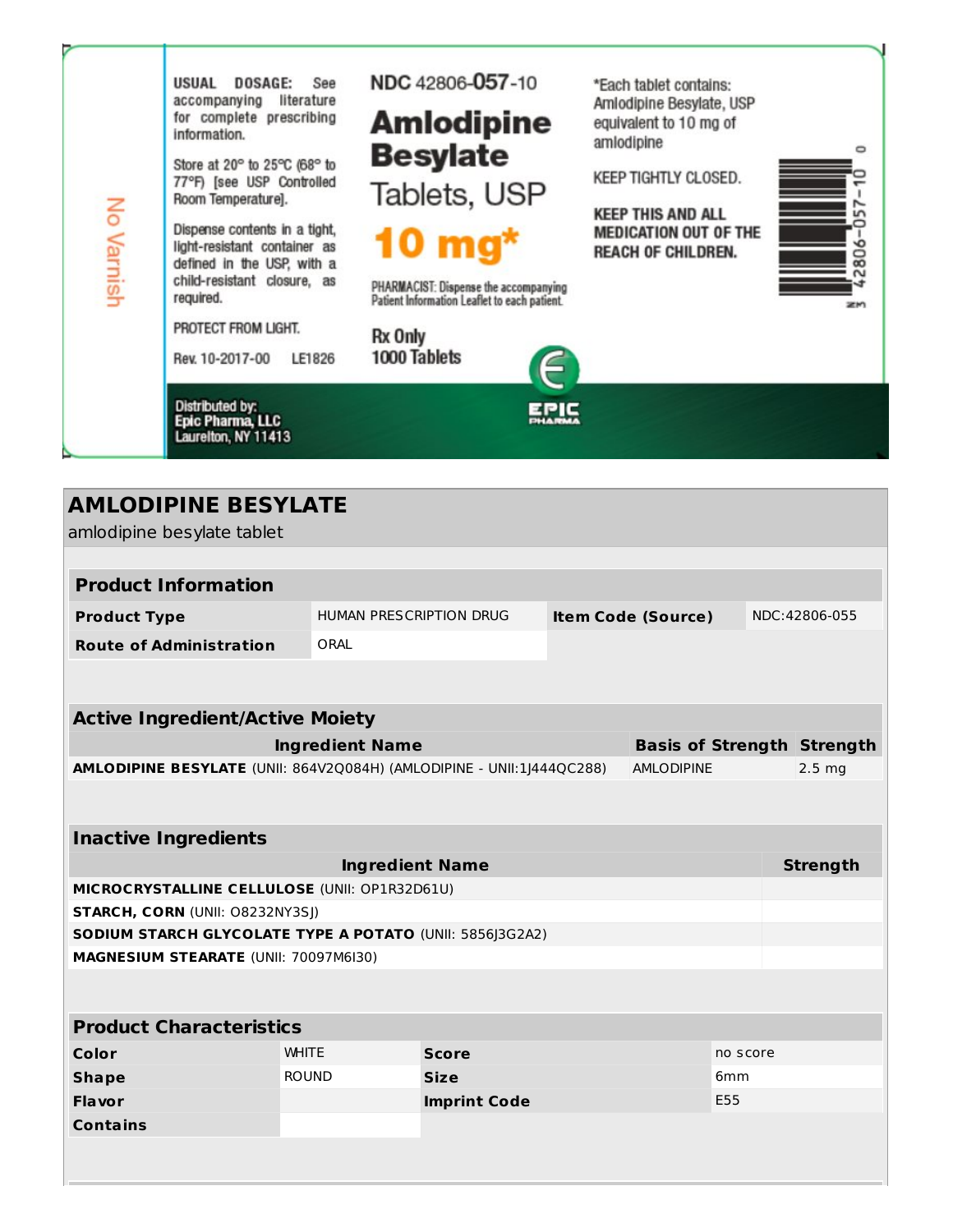| No Varnish          | USUAL<br><b>DOSAGE:</b><br>accompanying<br>for complete prescribing<br>information.<br>Store at 20° to 25°C (68° to<br>77°F) [see USP Controlled<br>Room Temperature].<br>Dispense contents in a tight,<br>light-resistant container as<br>defined in the USP, with a<br>child-resistant closure, as<br>required.<br>PROTECT FROM LIGHT.<br>Rev. 10-2017-00<br><b>Distributed by:</b><br><b>Epic Pharma, LLC</b><br>Laurelton, NY 11413<br><b>AMLODIPINE BESYLATE</b><br>amlodipine besylate tablet | See<br>literature<br><b>Rx Only</b><br>LE1826 | NDC 42806-057-10<br><b>Amlodipine</b><br><b>Besylate</b><br>Tablets, USP<br>10 mg<br>PHARMACIST: Dispense the accompanying<br>Patient Information Leaflet to each patient.<br>1000 Tablets | *Each tablet contains:<br>equivalent to 10 mg of<br>amlodipine<br>KEEP TIGHTLY CLOSED.<br><b>KEEP THIS AND ALL</b><br><b>REACH OF CHILDREN.</b> | Amlodipine Besylate, USP<br><b>MEDICATION OUT OF THE</b> | 0<br>ю<br>80<br>zю                |
|---------------------|-----------------------------------------------------------------------------------------------------------------------------------------------------------------------------------------------------------------------------------------------------------------------------------------------------------------------------------------------------------------------------------------------------------------------------------------------------------------------------------------------------|-----------------------------------------------|--------------------------------------------------------------------------------------------------------------------------------------------------------------------------------------------|-------------------------------------------------------------------------------------------------------------------------------------------------|----------------------------------------------------------|-----------------------------------|
|                     | <b>Product Information</b>                                                                                                                                                                                                                                                                                                                                                                                                                                                                          |                                               |                                                                                                                                                                                            |                                                                                                                                                 |                                                          |                                   |
| <b>Product Type</b> |                                                                                                                                                                                                                                                                                                                                                                                                                                                                                                     | HUMAN PRESCRIPTION DRUG                       |                                                                                                                                                                                            | <b>Item Code (Source)</b>                                                                                                                       |                                                          | NDC:42806-055                     |
|                     | <b>Route of Administration</b>                                                                                                                                                                                                                                                                                                                                                                                                                                                                      | ORAL                                          |                                                                                                                                                                                            |                                                                                                                                                 |                                                          |                                   |
|                     |                                                                                                                                                                                                                                                                                                                                                                                                                                                                                                     |                                               |                                                                                                                                                                                            |                                                                                                                                                 |                                                          |                                   |
|                     | <b>Active Ingredient/Active Moiety</b>                                                                                                                                                                                                                                                                                                                                                                                                                                                              |                                               |                                                                                                                                                                                            |                                                                                                                                                 |                                                          |                                   |
|                     |                                                                                                                                                                                                                                                                                                                                                                                                                                                                                                     | <b>Ingredient Name</b>                        |                                                                                                                                                                                            |                                                                                                                                                 |                                                          | <b>Basis of Strength Strength</b> |
|                     | AMLODIPINE BESYLATE (UNII: 864V2Q084H) (AMLODIPINE - UNII:1J444QC288)                                                                                                                                                                                                                                                                                                                                                                                                                               |                                               |                                                                                                                                                                                            | <b>AMLODIPINE</b>                                                                                                                               |                                                          | 2.5 <sub>mg</sub>                 |
|                     |                                                                                                                                                                                                                                                                                                                                                                                                                                                                                                     |                                               |                                                                                                                                                                                            |                                                                                                                                                 |                                                          |                                   |
|                     |                                                                                                                                                                                                                                                                                                                                                                                                                                                                                                     |                                               |                                                                                                                                                                                            |                                                                                                                                                 |                                                          |                                   |
|                     | <b>Inactive Ingredients</b>                                                                                                                                                                                                                                                                                                                                                                                                                                                                         |                                               |                                                                                                                                                                                            |                                                                                                                                                 |                                                          |                                   |
|                     | MICROCRYSTALLINE CELLULOSE (UNII: OP1R32D61U)                                                                                                                                                                                                                                                                                                                                                                                                                                                       | <b>Ingredient Name</b>                        |                                                                                                                                                                                            |                                                                                                                                                 |                                                          | <b>Strength</b>                   |
|                     | STARCH, CORN (UNII: O8232NY3SJ)                                                                                                                                                                                                                                                                                                                                                                                                                                                                     |                                               |                                                                                                                                                                                            |                                                                                                                                                 |                                                          |                                   |
|                     | SODIUM STARCH GLYCOLATE TYPE A POTATO (UNII: 5856J3G2A2)                                                                                                                                                                                                                                                                                                                                                                                                                                            |                                               |                                                                                                                                                                                            |                                                                                                                                                 |                                                          |                                   |
|                     | MAGNESIUM STEARATE (UNII: 70097M6I30)                                                                                                                                                                                                                                                                                                                                                                                                                                                               |                                               |                                                                                                                                                                                            |                                                                                                                                                 |                                                          |                                   |
|                     |                                                                                                                                                                                                                                                                                                                                                                                                                                                                                                     |                                               |                                                                                                                                                                                            |                                                                                                                                                 |                                                          |                                   |
|                     | <b>Product Characteristics</b>                                                                                                                                                                                                                                                                                                                                                                                                                                                                      |                                               |                                                                                                                                                                                            |                                                                                                                                                 |                                                          |                                   |
| Color               |                                                                                                                                                                                                                                                                                                                                                                                                                                                                                                     | <b>WHITE</b>                                  | <b>Score</b>                                                                                                                                                                               |                                                                                                                                                 | no score                                                 |                                   |
| <b>Shape</b>        |                                                                                                                                                                                                                                                                                                                                                                                                                                                                                                     | <b>ROUND</b>                                  | <b>Size</b>                                                                                                                                                                                |                                                                                                                                                 | 6 <sub>mm</sub>                                          |                                   |
| <b>Flavor</b>       |                                                                                                                                                                                                                                                                                                                                                                                                                                                                                                     |                                               | <b>Imprint Code</b>                                                                                                                                                                        |                                                                                                                                                 | E55                                                      |                                   |
| <b>Contains</b>     |                                                                                                                                                                                                                                                                                                                                                                                                                                                                                                     |                                               |                                                                                                                                                                                            |                                                                                                                                                 |                                                          |                                   |
|                     |                                                                                                                                                                                                                                                                                                                                                                                                                                                                                                     |                                               |                                                                                                                                                                                            |                                                                                                                                                 |                                                          |                                   |
|                     |                                                                                                                                                                                                                                                                                                                                                                                                                                                                                                     |                                               |                                                                                                                                                                                            |                                                                                                                                                 |                                                          |                                   |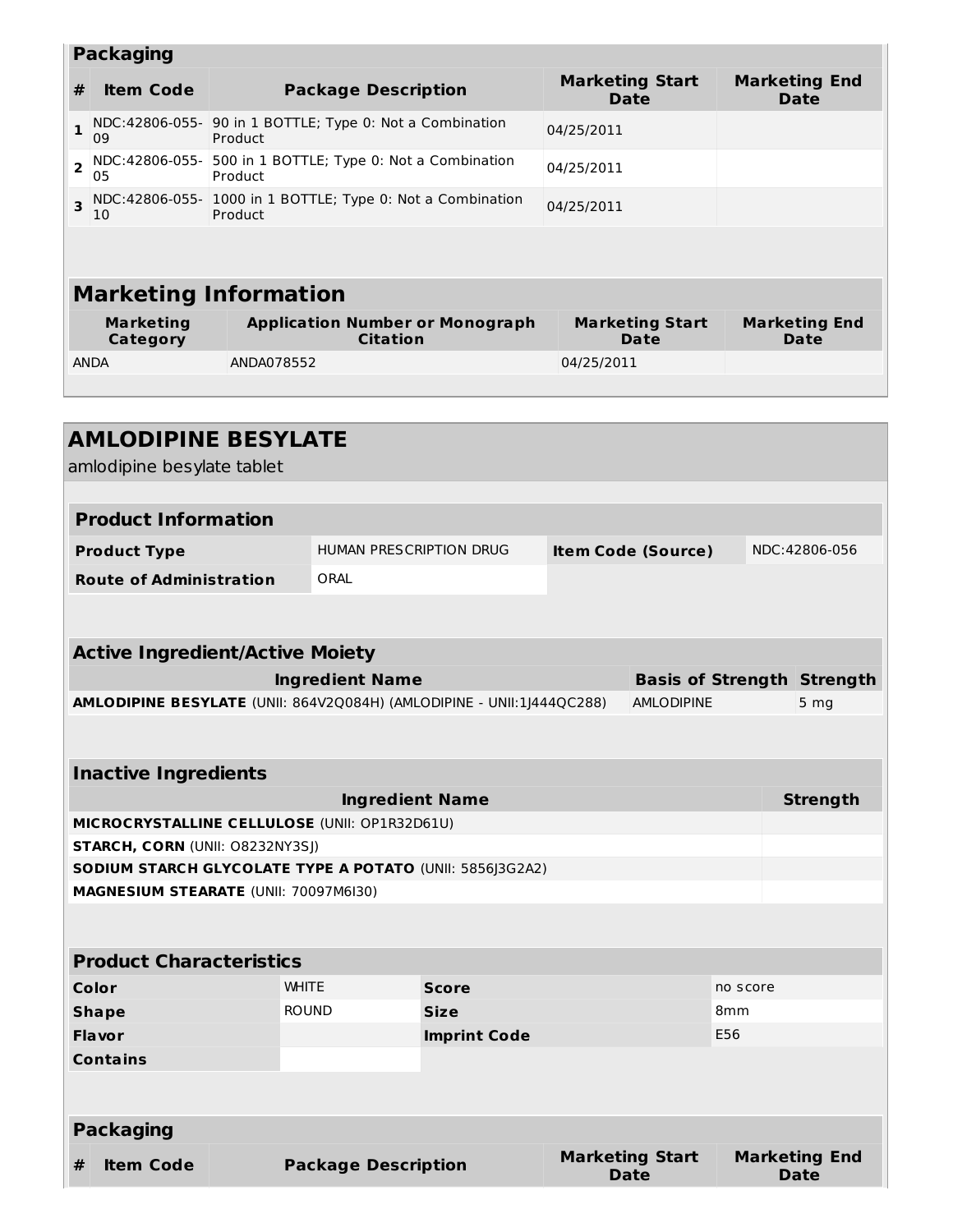|                                       | <b>Packaging</b>                                                            |            |                                                                       |            |                                       |  |                                     |  |
|---------------------------------------|-----------------------------------------------------------------------------|------------|-----------------------------------------------------------------------|------------|---------------------------------------|--|-------------------------------------|--|
| #                                     | <b>Item Code</b>                                                            |            | <b>Package Description</b>                                            |            | <b>Marketing Start</b><br><b>Date</b> |  | <b>Marketing End</b><br>Date        |  |
| $\mathbf{1}$                          | 09                                                                          | Product    | NDC: 42806-055- 90 in 1 BOTTLE; Type 0: Not a Combination             | 04/25/2011 |                                       |  |                                     |  |
| $\overline{2}$                        | 05                                                                          | Product    | NDC:42806-055- 500 in 1 BOTTLE; Type 0: Not a Combination             | 04/25/2011 |                                       |  |                                     |  |
| $\overline{\mathbf{3}}$               | NDC:42806-055- 1000 in 1 BOTTLE; Type 0: Not a Combination<br>Product<br>10 |            | 04/25/2011                                                            |            |                                       |  |                                     |  |
|                                       |                                                                             |            |                                                                       |            |                                       |  |                                     |  |
|                                       |                                                                             |            |                                                                       |            |                                       |  |                                     |  |
|                                       | <b>Marketing Information</b>                                                |            |                                                                       |            |                                       |  |                                     |  |
|                                       | <b>Marketing</b><br><b>Category</b>                                         |            | <b>Application Number or Monograph</b><br><b>Citation</b>             |            | <b>Marketing Start</b><br><b>Date</b> |  | <b>Marketing End</b><br><b>Date</b> |  |
|                                       | <b>ANDA</b>                                                                 | ANDA078552 |                                                                       | 04/25/2011 |                                       |  |                                     |  |
|                                       |                                                                             |            |                                                                       |            |                                       |  |                                     |  |
|                                       | <b>AMLODIPINE BESYLATE</b>                                                  |            |                                                                       |            |                                       |  |                                     |  |
|                                       | amlodipine besylate tablet                                                  |            |                                                                       |            |                                       |  |                                     |  |
|                                       |                                                                             |            |                                                                       |            |                                       |  |                                     |  |
|                                       | <b>Product Information</b>                                                  |            |                                                                       |            |                                       |  |                                     |  |
|                                       | <b>Product Type</b>                                                         |            | HUMAN PRESCRIPTION DRUG                                               |            | <b>Item Code (Source)</b>             |  | NDC:42806-056                       |  |
|                                       | <b>Route of Administration</b>                                              |            | ORAL                                                                  |            |                                       |  |                                     |  |
|                                       |                                                                             |            |                                                                       |            |                                       |  |                                     |  |
|                                       | <b>Active Ingredient/Active Moiety</b>                                      |            |                                                                       |            |                                       |  |                                     |  |
|                                       |                                                                             |            | <b>Ingredient Name</b>                                                |            |                                       |  | <b>Basis of Strength Strength</b>   |  |
|                                       |                                                                             |            | AMLODIPINE BESYLATE (UNII: 864V2Q084H) (AMLODIPINE - UNII:1J444QC288) |            | <b>AMLODIPINE</b>                     |  | 5 <sub>mq</sub>                     |  |
|                                       |                                                                             |            |                                                                       |            |                                       |  |                                     |  |
|                                       |                                                                             |            |                                                                       |            |                                       |  |                                     |  |
|                                       | <b>Inactive Ingredients</b><br><b>Ingredient Name</b><br><b>Strength</b>    |            |                                                                       |            |                                       |  |                                     |  |
|                                       | MICROCRYSTALLINE CELLULOSE (UNII: OP1R32D61U)                               |            |                                                                       |            |                                       |  |                                     |  |
|                                       | STARCH, CORN (UNII: O8232NY3SJ)                                             |            |                                                                       |            |                                       |  |                                     |  |
|                                       | SODIUM STARCH GLYCOLATE TYPE A POTATO (UNII: 5856J3G2A2)                    |            |                                                                       |            |                                       |  |                                     |  |
| MAGNESIUM STEARATE (UNII: 70097M6I30) |                                                                             |            |                                                                       |            |                                       |  |                                     |  |
|                                       |                                                                             |            |                                                                       |            |                                       |  |                                     |  |
|                                       | <b>Product Characteristics</b>                                              |            |                                                                       |            |                                       |  |                                     |  |

| Color           | <b>WHITE</b> | <b>Score</b>        | no score        |
|-----------------|--------------|---------------------|-----------------|
| <b>Shape</b>    | <b>ROUND</b> | <b>Size</b>         | 8 <sub>mm</sub> |
| <b>Flavor</b>   |              | <b>Imprint Code</b> | E56             |
| <b>Contains</b> |              |                     |                 |

#### **Packaging # Item Code Package Description Marketing Start Marketing Start**<br>Date **Marketing End Date**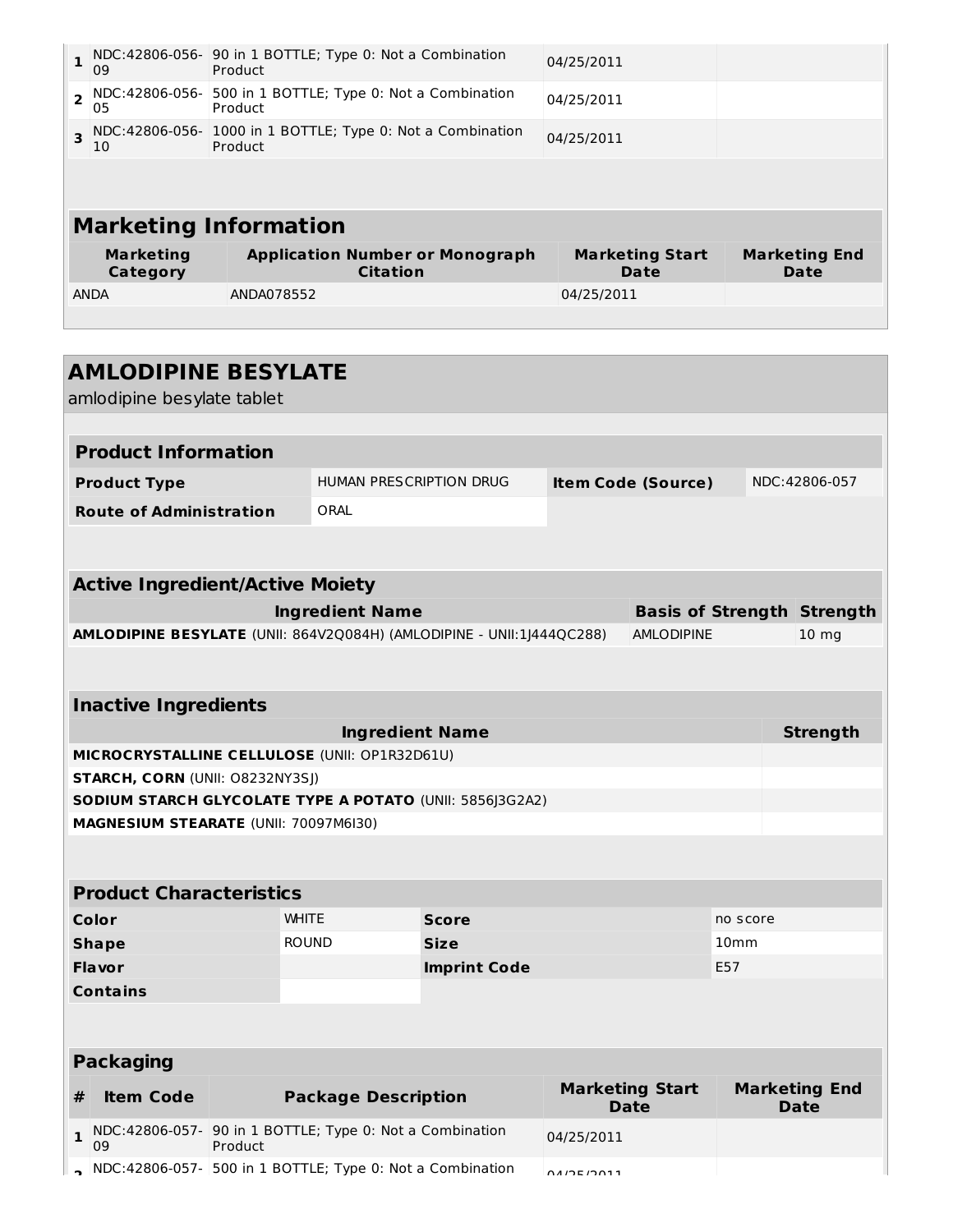| $\mathbf{1}$   | 09                           | NDC:42806-056- 90 in 1 BOTTLE; Type 0: Not a Combination<br>Product  | 04/25/2011                     |                              |  |  |  |
|----------------|------------------------------|----------------------------------------------------------------------|--------------------------------|------------------------------|--|--|--|
| $\overline{2}$ | 05                           | NDC:42806-056- 500 in 1 BOTTLE; Type 0: Not a Combination<br>Product | 04/25/2011                     |                              |  |  |  |
| 3              | 10                           | NDC:42806-056-1000 in 1 BOTTLE; Type 0: Not a Combination<br>Product | 04/25/2011                     |                              |  |  |  |
|                |                              |                                                                      |                                |                              |  |  |  |
|                | <b>Marketing Information</b> |                                                                      |                                |                              |  |  |  |
|                | <b>Marketing</b><br>Category | <b>Application Number or Monograph</b><br><b>Citation</b>            | <b>Marketing Start</b><br>Date | <b>Marketing End</b><br>Date |  |  |  |
|                | <b>ANDA</b>                  | ANDA078552                                                           | 04/25/2011                     |                              |  |  |  |
|                |                              |                                                                      |                                |                              |  |  |  |

|                                                                                                       | <b>AMLODIPINE BESYLATE</b>             |         |                                                           |                                                      |            |                        |               |                      |
|-------------------------------------------------------------------------------------------------------|----------------------------------------|---------|-----------------------------------------------------------|------------------------------------------------------|------------|------------------------|---------------|----------------------|
|                                                                                                       | amlodipine besylate tablet             |         |                                                           |                                                      |            |                        |               |                      |
|                                                                                                       |                                        |         |                                                           |                                                      |            |                        |               |                      |
|                                                                                                       | <b>Product Information</b>             |         |                                                           |                                                      |            |                        |               |                      |
|                                                                                                       | <b>Product Type</b>                    |         |                                                           | HUMAN PRESCRIPTION DRUG<br><b>Item Code (Source)</b> |            |                        | NDC:42806-057 |                      |
|                                                                                                       | <b>Route of Administration</b>         |         | ORAL                                                      |                                                      |            |                        |               |                      |
|                                                                                                       |                                        |         |                                                           |                                                      |            |                        |               |                      |
|                                                                                                       |                                        |         |                                                           |                                                      |            |                        |               |                      |
| <b>Active Ingredient/Active Moiety</b><br><b>Ingredient Name</b><br><b>Basis of Strength Strength</b> |                                        |         |                                                           |                                                      |            |                        |               |                      |
|                                                                                                       |                                        |         |                                                           |                                                      |            | <b>AMLODIPINE</b>      |               | 10 <sub>mg</sub>     |
| AMLODIPINE BESYLATE (UNII: 864V2Q084H) (AMLODIPINE - UNII:1J444QC288)                                 |                                        |         |                                                           |                                                      |            |                        |               |                      |
|                                                                                                       |                                        |         |                                                           |                                                      |            |                        |               |                      |
|                                                                                                       | <b>Inactive Ingredients</b>            |         |                                                           |                                                      |            |                        |               |                      |
|                                                                                                       |                                        |         | <b>Ingredient Name</b>                                    |                                                      |            |                        |               | <b>Strength</b>      |
|                                                                                                       |                                        |         | MICROCRYSTALLINE CELLULOSE (UNII: OP1R32D61U)             |                                                      |            |                        |               |                      |
|                                                                                                       | <b>STARCH, CORN (UNII: O8232NY3SJ)</b> |         |                                                           |                                                      |            |                        |               |                      |
|                                                                                                       |                                        |         | SODIUM STARCH GLYCOLATE TYPE A POTATO (UNII: 5856 3G2A2)  |                                                      |            |                        |               |                      |
|                                                                                                       | MAGNESIUM STEARATE (UNII: 70097M6I30)  |         |                                                           |                                                      |            |                        |               |                      |
|                                                                                                       |                                        |         |                                                           |                                                      |            |                        |               |                      |
|                                                                                                       | <b>Product Characteristics</b>         |         |                                                           |                                                      |            |                        |               |                      |
|                                                                                                       |                                        |         |                                                           |                                                      |            |                        |               |                      |
|                                                                                                       | Color                                  |         | <b>WHITE</b>                                              | <b>Score</b>                                         |            |                        | no score      |                      |
| <b>ROUND</b><br><b>Size</b><br><b>Shape</b>                                                           |                                        |         |                                                           | 10 <sub>mm</sub>                                     |            |                        |               |                      |
| Flavor<br><b>Imprint Code</b>                                                                         |                                        |         | E57                                                       |                                                      |            |                        |               |                      |
|                                                                                                       | <b>Contains</b>                        |         |                                                           |                                                      |            |                        |               |                      |
|                                                                                                       |                                        |         |                                                           |                                                      |            |                        |               |                      |
|                                                                                                       | <b>Packaging</b>                       |         |                                                           |                                                      |            |                        |               |                      |
| #                                                                                                     | <b>Item Code</b>                       |         | <b>Package Description</b>                                |                                                      |            | <b>Marketing Start</b> |               | <b>Marketing End</b> |
|                                                                                                       |                                        |         |                                                           |                                                      |            | <b>Date</b>            |               | <b>Date</b>          |
| $\mathbf{1}$                                                                                          | 09                                     | Product | NDC: 42806-057- 90 in 1 BOTTLE; Type 0: Not a Combination |                                                      | 04/25/2011 |                        |               |                      |
|                                                                                                       |                                        |         | NDC:42806-057- 500 in 1 BOTTLE; Type 0: Not a Combination |                                                      | 01/2E/2011 |                        |               |                      |